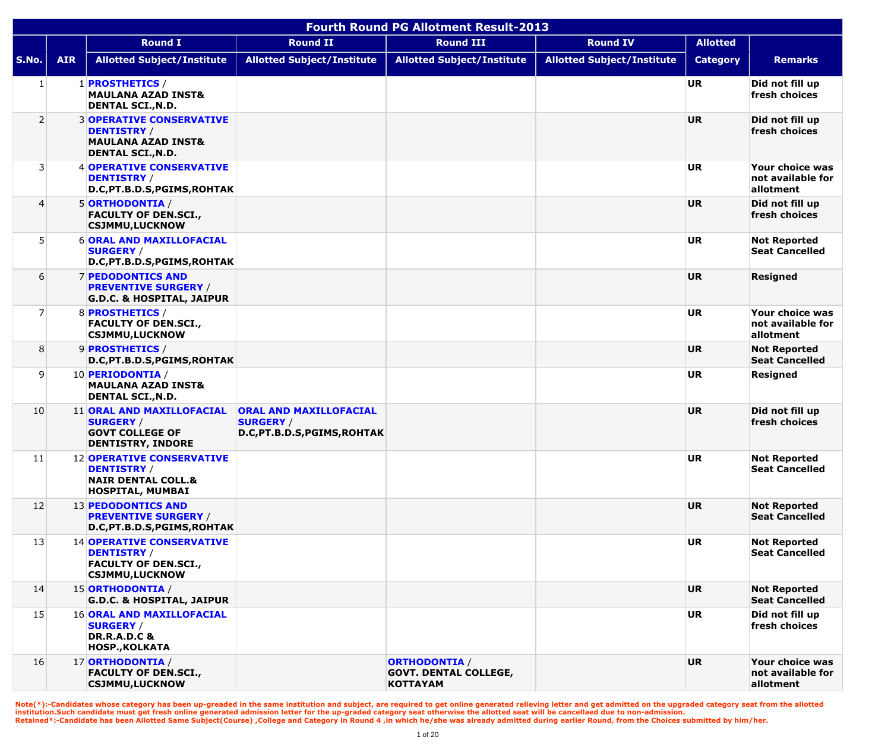|                | <b>Fourth Round PG Allotment Result-2013</b> |                                                                                                                    |                                                                                   |                                                                         |                                   |                 |                                                   |  |  |  |
|----------------|----------------------------------------------|--------------------------------------------------------------------------------------------------------------------|-----------------------------------------------------------------------------------|-------------------------------------------------------------------------|-----------------------------------|-----------------|---------------------------------------------------|--|--|--|
|                |                                              | <b>Round I</b>                                                                                                     | <b>Round II</b>                                                                   | <b>Round III</b>                                                        | <b>Round IV</b>                   | <b>Allotted</b> |                                                   |  |  |  |
| S.No.          | <b>AIR</b>                                   | <b>Allotted Subject/Institute</b>                                                                                  | <b>Allotted Subject/Institute</b>                                                 | <b>Allotted Subject/Institute</b>                                       | <b>Allotted Subject/Institute</b> | <b>Category</b> | <b>Remarks</b>                                    |  |  |  |
| $\mathbf{1}$   |                                              | 1 <b>PROSTHETICS</b> /<br><b>MAULANA AZAD INST&amp;</b><br><b>DENTAL SCI., N.D.</b>                                |                                                                                   |                                                                         |                                   | <b>UR</b>       | Did not fill up<br>fresh choices                  |  |  |  |
| $\overline{2}$ |                                              | <b>3 OPERATIVE CONSERVATIVE</b><br><b>DENTISTRY /</b><br><b>MAULANA AZAD INST&amp;</b><br><b>DENTAL SCI., N.D.</b> |                                                                                   |                                                                         |                                   | <b>UR</b>       | Did not fill up<br>fresh choices                  |  |  |  |
| 3              |                                              | <b>4 OPERATIVE CONSERVATIVE</b><br><b>DENTISTRY /</b><br>D.C, PT.B.D.S, PGIMS, ROHTAK                              |                                                                                   |                                                                         |                                   | <b>UR</b>       | Your choice was<br>not available for<br>allotment |  |  |  |
| 4              |                                              | 5 ORTHODONTIA /<br><b>FACULTY OF DEN.SCI.,</b><br><b>CSJMMU,LUCKNOW</b>                                            |                                                                                   |                                                                         |                                   | <b>UR</b>       | Did not fill up<br>fresh choices                  |  |  |  |
| 5              |                                              | <b>6 ORAL AND MAXILLOFACIAL</b><br><b>SURGERY /</b><br>D.C, PT.B.D.S, PGIMS, ROHTAK                                |                                                                                   |                                                                         |                                   | <b>UR</b>       | <b>Not Reported</b><br><b>Seat Cancelled</b>      |  |  |  |
| 6              |                                              | <b>7 PEDODONTICS AND</b><br><b>PREVENTIVE SURGERY /</b><br><b>G.D.C. &amp; HOSPITAL, JAIPUR</b>                    |                                                                                   |                                                                         |                                   | <b>UR</b>       | <b>Resigned</b>                                   |  |  |  |
| 7              |                                              | 8 PROSTHETICS /<br><b>FACULTY OF DEN.SCI.,</b><br><b>CSJMMU,LUCKNOW</b>                                            |                                                                                   |                                                                         |                                   | <b>UR</b>       | Your choice was<br>not available for<br>allotment |  |  |  |
| 8              |                                              | 9 PROSTHETICS /<br>D.C, PT.B.D.S, PGIMS, ROHTAK                                                                    |                                                                                   |                                                                         |                                   | <b>UR</b>       | <b>Not Reported</b><br><b>Seat Cancelled</b>      |  |  |  |
| 9              |                                              | 10 PERIODONTIA /<br><b>MAULANA AZAD INST&amp;</b><br><b>DENTAL SCI., N.D.</b>                                      |                                                                                   |                                                                         |                                   | <b>UR</b>       | <b>Resigned</b>                                   |  |  |  |
| 10             |                                              | 11 ORAL AND MAXILLOFACIAL<br><b>SURGERY /</b><br><b>GOVT COLLEGE OF</b><br><b>DENTISTRY, INDORE</b>                | <b>ORAL AND MAXILLOFACIAL</b><br><b>SURGERY /</b><br>D.C, PT.B.D.S, PGIMS, ROHTAK |                                                                         |                                   | <b>UR</b>       | Did not fill up<br>fresh choices                  |  |  |  |
| 11             |                                              | <b>12 OPERATIVE CONSERVATIVE</b><br><b>DENTISTRY /</b><br><b>NAIR DENTAL COLL.&amp;</b><br><b>HOSPITAL, MUMBAI</b> |                                                                                   |                                                                         |                                   | <b>UR</b>       | <b>Not Reported</b><br><b>Seat Cancelled</b>      |  |  |  |
| 12             |                                              | 13 PEDODONTICS AND<br><b>PREVENTIVE SURGERY /</b><br>D.C, PT.B.D.S, PGIMS, ROHTAK                                  |                                                                                   |                                                                         |                                   | <b>UR</b>       | <b>Not Reported</b><br><b>Seat Cancelled</b>      |  |  |  |
| 13             |                                              | <b>14 OPERATIVE CONSERVATIVE</b><br><b>DENTISTRY</b> /<br><b>FACULTY OF DEN.SCI.,</b><br><b>CSJMMU,LUCKNOW</b>     |                                                                                   |                                                                         |                                   | <b>UR</b>       | <b>Not Reported</b><br><b>Seat Cancelled</b>      |  |  |  |
| 14             |                                              | 15 ORTHODONTIA /<br><b>G.D.C. &amp; HOSPITAL, JAIPUR</b>                                                           |                                                                                   |                                                                         |                                   | <b>UR</b>       | <b>Not Reported</b><br><b>Seat Cancelled</b>      |  |  |  |
| 15             |                                              | <b>16 ORAL AND MAXILLOFACIAL</b><br><b>SURGERY /</b><br><b>DR.R.A.D.C &amp;</b><br><b>HOSP., KOLKATA</b>           |                                                                                   |                                                                         |                                   | <b>UR</b>       | Did not fill up<br>fresh choices                  |  |  |  |
| 16             |                                              | 17 ORTHODONTIA /<br><b>FACULTY OF DEN.SCI.,</b><br><b>CSJMMU,LUCKNOW</b>                                           |                                                                                   | <b>ORTHODONTIA /</b><br><b>GOVT. DENTAL COLLEGE,</b><br><b>KOTTAYAM</b> |                                   | <b>UR</b>       | Your choice was<br>not available for<br>allotment |  |  |  |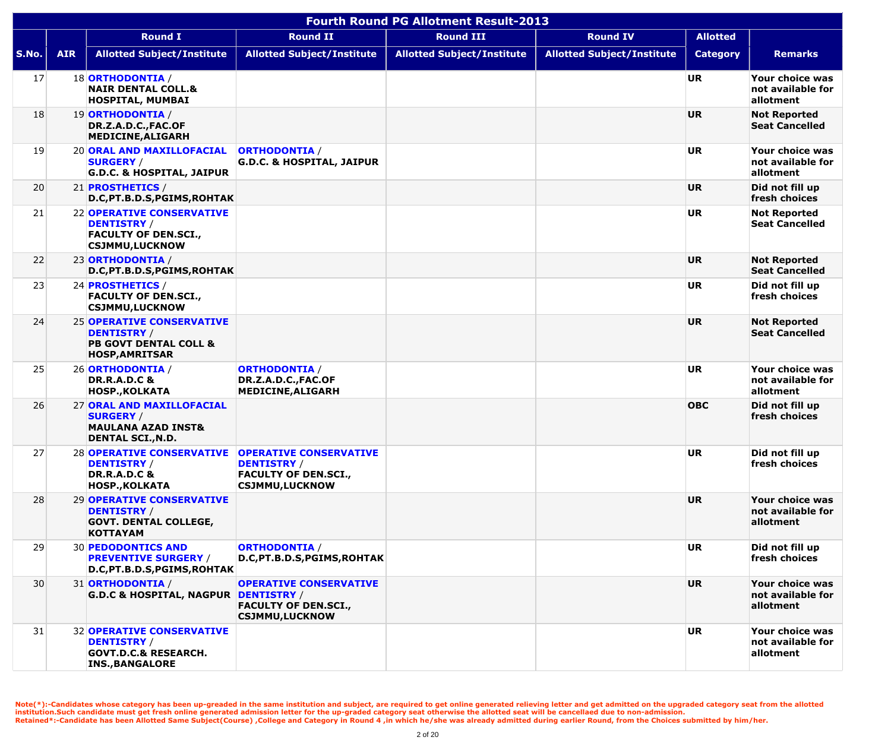|       | <b>Fourth Round PG Allotment Result-2013</b> |                                                                                                                     |                                                                                                             |                                   |                                   |                 |                                                   |  |  |  |  |
|-------|----------------------------------------------|---------------------------------------------------------------------------------------------------------------------|-------------------------------------------------------------------------------------------------------------|-----------------------------------|-----------------------------------|-----------------|---------------------------------------------------|--|--|--|--|
|       |                                              | <b>Round I</b>                                                                                                      | <b>Round II</b>                                                                                             | <b>Round III</b>                  | <b>Round IV</b>                   | <b>Allotted</b> |                                                   |  |  |  |  |
| S.No. | <b>AIR</b>                                   | <b>Allotted Subject/Institute</b>                                                                                   | <b>Allotted Subject/Institute</b>                                                                           | <b>Allotted Subject/Institute</b> | <b>Allotted Subject/Institute</b> | <b>Category</b> | <b>Remarks</b>                                    |  |  |  |  |
| 17    |                                              | 18 ORTHODONTIA /<br><b>NAIR DENTAL COLL.&amp;</b><br><b>HOSPITAL, MUMBAI</b>                                        |                                                                                                             |                                   |                                   | <b>UR</b>       | Your choice was<br>not available for<br>allotment |  |  |  |  |
| 18    |                                              | 19 ORTHODONTIA /<br>DR.Z.A.D.C., FAC.OF<br><b>MEDICINE, ALIGARH</b>                                                 |                                                                                                             |                                   |                                   | <b>UR</b>       | <b>Not Reported</b><br><b>Seat Cancelled</b>      |  |  |  |  |
| 19    |                                              | 20 ORAL AND MAXILLOFACIAL<br><b>SURGERY /</b><br><b>G.D.C. &amp; HOSPITAL, JAIPUR</b>                               | <b>ORTHODONTIA /</b><br><b>G.D.C. &amp; HOSPITAL, JAIPUR</b>                                                |                                   |                                   | <b>UR</b>       | Your choice was<br>not available for<br>allotment |  |  |  |  |
| 20    |                                              | 21 <b>PROSTHETICS</b> /<br>D.C, PT.B.D.S, PGIMS, ROHTAK                                                             |                                                                                                             |                                   |                                   | <b>UR</b>       | Did not fill up<br>fresh choices                  |  |  |  |  |
| 21    |                                              | 22 OPERATIVE CONSERVATIVE<br><b>DENTISTRY /</b><br><b>FACULTY OF DEN.SCI.,</b><br><b>CSJMMU,LUCKNOW</b>             |                                                                                                             |                                   |                                   | <b>UR</b>       | <b>Not Reported</b><br><b>Seat Cancelled</b>      |  |  |  |  |
| 22    |                                              | 23 ORTHODONTIA /<br>D.C, PT.B.D.S, PGIMS, ROHTAK                                                                    |                                                                                                             |                                   |                                   | <b>UR</b>       | <b>Not Reported</b><br><b>Seat Cancelled</b>      |  |  |  |  |
| 23    |                                              | 24 <b>PROSTHETICS</b> /<br><b>FACULTY OF DEN.SCI.,</b><br><b>CSJMMU,LUCKNOW</b>                                     |                                                                                                             |                                   |                                   | <b>UR</b>       | Did not fill up<br>fresh choices                  |  |  |  |  |
| 24    |                                              | <b>25 OPERATIVE CONSERVATIVE</b><br><b>DENTISTRY</b> /<br><b>PB GOVT DENTAL COLL &amp;</b><br><b>HOSP, AMRITSAR</b> |                                                                                                             |                                   |                                   | <b>UR</b>       | <b>Not Reported</b><br><b>Seat Cancelled</b>      |  |  |  |  |
| 25    |                                              | 26 ORTHODONTIA /<br><b>DR.R.A.D.C &amp;</b><br><b>HOSP., KOLKATA</b>                                                | <b>ORTHODONTIA /</b><br>DR.Z.A.D.C., FAC.OF<br>MEDICINE, ALIGARH                                            |                                   |                                   | <b>UR</b>       | Your choice was<br>not available for<br>allotment |  |  |  |  |
| 26    |                                              | 27 ORAL AND MAXILLOFACIAL<br><b>SURGERY /</b><br><b>MAULANA AZAD INST&amp;</b><br><b>DENTAL SCI., N.D.</b>          |                                                                                                             |                                   |                                   | <b>OBC</b>      | Did not fill up<br>fresh choices                  |  |  |  |  |
| 27    |                                              | 28 OPERATIVE CONSERVATIVE<br><b>DENTISTRY /</b><br><b>DR.R.A.D.C &amp;</b><br><b>HOSP., KOLKATA</b>                 | <b>OPERATIVE CONSERVATIVE</b><br><b>DENTISTRY</b> /<br><b>FACULTY OF DEN.SCI.,</b><br><b>CSJMMU,LUCKNOW</b> |                                   |                                   | UR              | Did not fill up<br>fresh choices                  |  |  |  |  |
| 28    |                                              | 29 OPERATIVE CONSERVATIVE<br><b>DENTISTRY</b> /<br><b>GOVT. DENTAL COLLEGE,</b><br><b>KOTTAYAM</b>                  |                                                                                                             |                                   |                                   | <b>UR</b>       | Your choice was<br>not available for<br>allotment |  |  |  |  |
| 29    |                                              | <b>30 PEDODONTICS AND</b><br><b>PREVENTIVE SURGERY /</b><br>D.C, PT.B.D.S, PGIMS, ROHTAK                            | <b>ORTHODONTIA /</b><br>D.C, PT.B.D.S, PGIMS, ROHTAK                                                        |                                   |                                   | <b>UR</b>       | Did not fill up<br>fresh choices                  |  |  |  |  |
| 30    |                                              | 31 ORTHODONTIA /<br><b>G.D.C &amp; HOSPITAL, NAGPUR DENTISTRY /</b>                                                 | <b>OPERATIVE CONSERVATIVE</b><br><b>FACULTY OF DEN.SCI.,</b><br><b>CSJMMU,LUCKNOW</b>                       |                                   |                                   | <b>UR</b>       | Your choice was<br>not available for<br>allotment |  |  |  |  |
| 31    |                                              | <b>32 OPERATIVE CONSERVATIVE</b><br><b>DENTISTRY</b> /<br><b>GOVT.D.C.&amp; RESEARCH.</b><br><b>INS., BANGALORE</b> |                                                                                                             |                                   |                                   | <b>UR</b>       | Your choice was<br>not available for<br>allotment |  |  |  |  |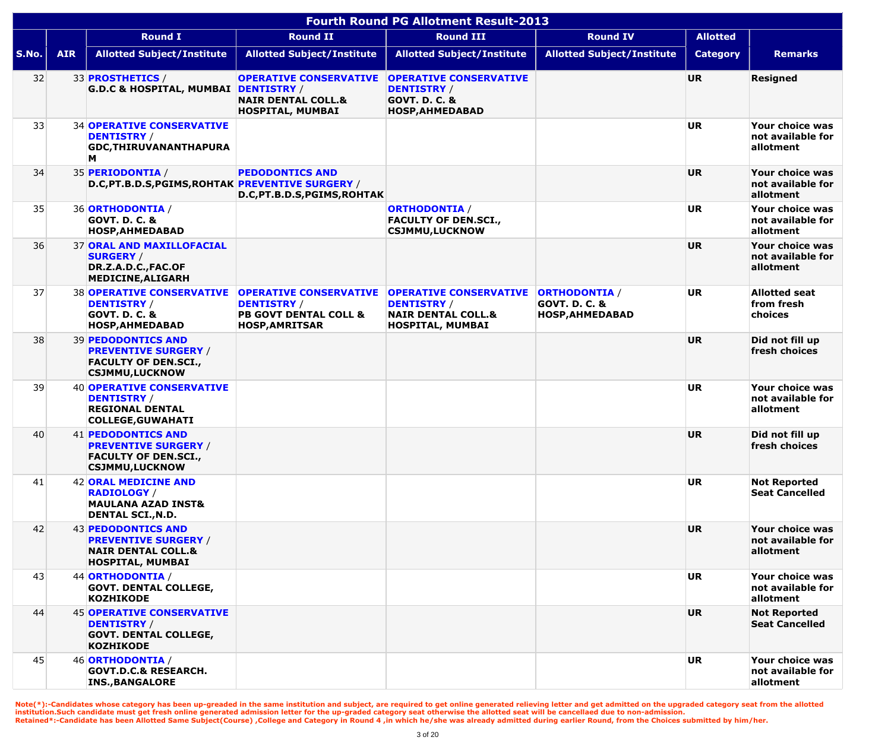|              | <b>Fourth Round PG Allotment Result-2013</b> |                                                                                                                  |                                                                                                                  |                                                                                                           |                                                                            |                 |                                                   |  |  |  |  |
|--------------|----------------------------------------------|------------------------------------------------------------------------------------------------------------------|------------------------------------------------------------------------------------------------------------------|-----------------------------------------------------------------------------------------------------------|----------------------------------------------------------------------------|-----------------|---------------------------------------------------|--|--|--|--|
|              |                                              | <b>Round I</b>                                                                                                   | <b>Round II</b>                                                                                                  | <b>Round III</b>                                                                                          | <b>Round IV</b>                                                            | <b>Allotted</b> |                                                   |  |  |  |  |
| <b>S.No.</b> | <b>AIR</b>                                   | <b>Allotted Subject/Institute</b>                                                                                | <b>Allotted Subject/Institute</b>                                                                                | <b>Allotted Subject/Institute</b>                                                                         | <b>Allotted Subject/Institute</b>                                          | <b>Category</b> | <b>Remarks</b>                                    |  |  |  |  |
| 32           |                                              | 33 <b>PROSTHETICS</b> /<br>G.D.C & HOSPITAL, MUMBAI DENTISTRY /                                                  | <b>OPERATIVE CONSERVATIVE</b><br><b>NAIR DENTAL COLL.&amp;</b><br><b>HOSPITAL, MUMBAI</b>                        | <b>OPERATIVE CONSERVATIVE</b><br><b>DENTISTRY /</b><br><b>GOVT. D. C. &amp;</b><br><b>HOSP, AHMEDABAD</b> |                                                                            | <b>UR</b>       | <b>Resigned</b>                                   |  |  |  |  |
| 33           |                                              | <b>34 OPERATIVE CONSERVATIVE</b><br><b>DENTISTRY /</b><br><b>GDC, THIRUVANANTHAPURA</b><br>M                     |                                                                                                                  |                                                                                                           |                                                                            | <b>UR</b>       | Your choice was<br>not available for<br>allotment |  |  |  |  |
| 34           |                                              | 35 PERIODONTIA /<br>D.C, PT.B.D.S, PGIMS, ROHTAK PREVENTIVE SURGERY /                                            | <b>PEDODONTICS AND</b><br>D.C, PT.B.D.S, PGIMS, ROHTAK                                                           |                                                                                                           |                                                                            | <b>UR</b>       | Your choice was<br>not available for<br>allotment |  |  |  |  |
| 35           |                                              | 36 ORTHODONTIA /<br><b>GOVT. D. C. &amp;</b><br><b>HOSP, AHMEDABAD</b>                                           |                                                                                                                  | <b>ORTHODONTIA /</b><br><b>FACULTY OF DEN.SCI.,</b><br><b>CSJMMU,LUCKNOW</b>                              |                                                                            | <b>UR</b>       | Your choice was<br>not available for<br>allotment |  |  |  |  |
| 36           |                                              | <b>37 ORAL AND MAXILLOFACIAL</b><br><b>SURGERY /</b><br>DR.Z.A.D.C., FAC.OF<br><b>MEDICINE, ALIGARH</b>          |                                                                                                                  |                                                                                                           |                                                                            | <b>UR</b>       | Your choice was<br>not available for<br>allotment |  |  |  |  |
| 37           |                                              | <b>38 OPERATIVE CONSERVATIVE</b><br><b>DENTISTRY /</b><br><b>GOVT. D. C. &amp;</b><br><b>HOSP, AHMEDABAD</b>     | <b>OPERATIVE CONSERVATIVE</b><br><b>DENTISTRY /</b><br><b>PB GOVT DENTAL COLL &amp;</b><br><b>HOSP, AMRITSAR</b> | <b>OPERATIVE CONSERVATIVE</b><br><b>DENTISTRY /</b><br><b>NAIR DENTAL COLL.&amp;</b><br>HOSPITAL, MUMBAI  | <b>ORTHODONTIA /</b><br><b>GOVT. D. C. &amp;</b><br><b>HOSP, AHMEDABAD</b> | <b>UR</b>       | <b>Allotted seat</b><br>from fresh<br>choices     |  |  |  |  |
| 38           |                                              | <b>39 PEDODONTICS AND</b><br><b>PREVENTIVE SURGERY /</b><br><b>FACULTY OF DEN.SCI.,</b><br><b>CSJMMU,LUCKNOW</b> |                                                                                                                  |                                                                                                           |                                                                            | <b>UR</b>       | Did not fill up<br>fresh choices                  |  |  |  |  |
| 39           |                                              | <b>40 OPERATIVE CONSERVATIVE</b><br><b>DENTISTRY /</b><br><b>REGIONAL DENTAL</b><br><b>COLLEGE, GUWAHATI</b>     |                                                                                                                  |                                                                                                           |                                                                            | <b>UR</b>       | Your choice was<br>not available for<br>allotment |  |  |  |  |
| 40           |                                              | 41 PEDODONTICS AND<br><b>PREVENTIVE SURGERY /</b><br><b>FACULTY OF DEN.SCI.,</b><br><b>CSJMMU,LUCKNOW</b>        |                                                                                                                  |                                                                                                           |                                                                            | <b>UR</b>       | Did not fill up<br>fresh choices                  |  |  |  |  |
| 41           |                                              | 42 ORAL MEDICINE AND<br><b>RADIOLOGY</b> /<br><b>MAULANA AZAD INST&amp;</b><br><b>DENTAL SCI., N.D.</b>          |                                                                                                                  |                                                                                                           |                                                                            | <b>UR</b>       | <b>Not Reported</b><br><b>Seat Cancelled</b>      |  |  |  |  |
| 42           |                                              | 43 PEDODONTICS AND<br><b>PREVENTIVE SURGERY /</b><br><b>NAIR DENTAL COLL.&amp;</b><br><b>HOSPITAL, MUMBAI</b>    |                                                                                                                  |                                                                                                           |                                                                            | <b>UR</b>       | Your choice was<br>not available for<br>allotment |  |  |  |  |
| 43           |                                              | 44 ORTHODONTIA /<br><b>GOVT. DENTAL COLLEGE,</b><br><b>KOZHIKODE</b>                                             |                                                                                                                  |                                                                                                           |                                                                            | <b>UR</b>       | Your choice was<br>not available for<br>allotment |  |  |  |  |
| 44           |                                              | <b>45 OPERATIVE CONSERVATIVE</b><br><b>DENTISTRY /</b><br><b>GOVT. DENTAL COLLEGE,</b><br><b>KOZHIKODE</b>       |                                                                                                                  |                                                                                                           |                                                                            | <b>UR</b>       | <b>Not Reported</b><br><b>Seat Cancelled</b>      |  |  |  |  |
| 45           |                                              | 46 ORTHODONTIA /<br><b>GOVT.D.C.&amp; RESEARCH.</b><br><b>INS., BANGALORE</b>                                    |                                                                                                                  |                                                                                                           |                                                                            | <b>UR</b>       | Your choice was<br>not available for<br>allotment |  |  |  |  |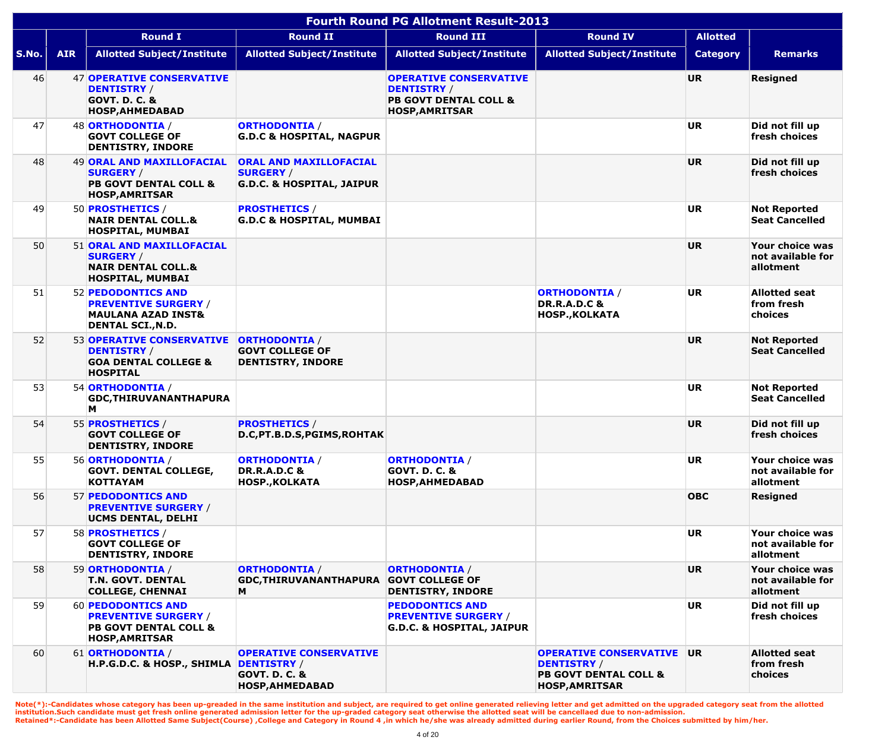|       | <b>Fourth Round PG Allotment Result-2013</b> |                                                                                                                |                                                                                    |                                                                                                                  |                                                                                                                     |                 |                                                   |  |  |  |  |
|-------|----------------------------------------------|----------------------------------------------------------------------------------------------------------------|------------------------------------------------------------------------------------|------------------------------------------------------------------------------------------------------------------|---------------------------------------------------------------------------------------------------------------------|-----------------|---------------------------------------------------|--|--|--|--|
|       |                                              | <b>Round I</b>                                                                                                 | <b>Round II</b>                                                                    | <b>Round III</b>                                                                                                 | <b>Round IV</b>                                                                                                     | <b>Allotted</b> |                                                   |  |  |  |  |
| S.No. | <b>AIR</b>                                   | <b>Allotted Subject/Institute</b>                                                                              | <b>Allotted Subject/Institute</b>                                                  | <b>Allotted Subject/Institute</b>                                                                                | <b>Allotted Subject/Institute</b>                                                                                   | <b>Category</b> | <b>Remarks</b>                                    |  |  |  |  |
| 46    |                                              | <b>47 OPERATIVE CONSERVATIVE</b><br><b>DENTISTRY /</b><br><b>GOVT. D. C. &amp;</b><br>HOSP, AHMEDABAD          |                                                                                    | <b>OPERATIVE CONSERVATIVE</b><br><b>DENTISTRY /</b><br><b>PB GOVT DENTAL COLL &amp;</b><br><b>HOSP, AMRITSAR</b> |                                                                                                                     | <b>UR</b>       | <b>Resigned</b>                                   |  |  |  |  |
| 47    |                                              | 48 ORTHODONTIA /<br><b>GOVT COLLEGE OF</b><br><b>DENTISTRY, INDORE</b>                                         | <b>ORTHODONTIA /</b><br><b>G.D.C &amp; HOSPITAL, NAGPUR</b>                        |                                                                                                                  |                                                                                                                     | <b>UR</b>       | Did not fill up<br>fresh choices                  |  |  |  |  |
| 48    |                                              | 49 ORAL AND MAXILLOFACIAL<br><b>SURGERY /</b><br><b>PB GOVT DENTAL COLL &amp;</b><br><b>HOSP, AMRITSAR</b>     | ORAL AND MAXILLOFACIAL<br><b>SURGERY /</b><br><b>G.D.C. &amp; HOSPITAL, JAIPUR</b> |                                                                                                                  |                                                                                                                     | <b>UR</b>       | Did not fill up<br>fresh choices                  |  |  |  |  |
| 49    |                                              | 50 <b>PROSTHETICS</b> /<br><b>NAIR DENTAL COLL.&amp;</b><br>HOSPITAL, MUMBAI                                   | <b>PROSTHETICS /</b><br><b>G.D.C &amp; HOSPITAL, MUMBAI</b>                        |                                                                                                                  |                                                                                                                     | <b>UR</b>       | <b>Not Reported</b><br><b>Seat Cancelled</b>      |  |  |  |  |
| 50    |                                              | 51 ORAL AND MAXILLOFACIAL<br><b>SURGERY /</b><br><b>NAIR DENTAL COLL.&amp;</b><br><b>HOSPITAL, MUMBAI</b>      |                                                                                    |                                                                                                                  |                                                                                                                     | <b>UR</b>       | Your choice was<br>not available for<br>allotment |  |  |  |  |
| 51    |                                              | 52 PEDODONTICS AND<br><b>PREVENTIVE SURGERY /</b><br><b>MAULANA AZAD INST&amp;</b><br><b>DENTAL SCI., N.D.</b> |                                                                                    |                                                                                                                  | <b>ORTHODONTIA /</b><br><b>DR.R.A.D.C &amp;</b><br><b>HOSP., KOLKATA</b>                                            | <b>UR</b>       | <b>Allotted seat</b><br>from fresh<br>choices     |  |  |  |  |
| 52    |                                              | 53 OPERATIVE CONSERVATIVE<br><b>DENTISTRY /</b><br><b>GOA DENTAL COLLEGE &amp;</b><br><b>HOSPITAL</b>          | <b>ORTHODONTIA /</b><br><b>GOVT COLLEGE OF</b><br><b>DENTISTRY, INDORE</b>         |                                                                                                                  |                                                                                                                     | <b>UR</b>       | <b>Not Reported</b><br><b>Seat Cancelled</b>      |  |  |  |  |
| 53    |                                              | 54 ORTHODONTIA /<br>GDC, THIRUVANANTHAPURA<br>M                                                                |                                                                                    |                                                                                                                  |                                                                                                                     | <b>UR</b>       | <b>Not Reported</b><br><b>Seat Cancelled</b>      |  |  |  |  |
| 54    |                                              | 55 <b>PROSTHETICS</b> /<br><b>GOVT COLLEGE OF</b><br><b>DENTISTRY, INDORE</b>                                  | <b>PROSTHETICS /</b><br>D.C, PT.B.D.S, PGIMS, ROHTAK                               |                                                                                                                  |                                                                                                                     | <b>UR</b>       | Did not fill up<br>fresh choices                  |  |  |  |  |
| 55    |                                              | 56 ORTHODONTIA /<br><b>GOVT. DENTAL COLLEGE,</b><br><b>KOTTAYAM</b>                                            | <b>ORTHODONTIA /</b><br><b>DR.R.A.D.C &amp;</b><br><b>HOSP., KOLKATA</b>           | <b>ORTHODONTIA /</b><br><b>GOVT. D. C. &amp;</b><br>HOSP, AHMEDABAD                                              |                                                                                                                     | <b>UR</b>       | Your choice was<br>not available for<br>allotment |  |  |  |  |
| 56    |                                              | 57 PEDODONTICS AND<br><b>PREVENTIVE SURGERY /</b><br>UCMS DENTAL, DELHI                                        |                                                                                    |                                                                                                                  |                                                                                                                     | <b>OBC</b>      | <b>Resigned</b>                                   |  |  |  |  |
| 57    |                                              | 58 <b>PROSTHETICS</b> /<br><b>GOVT COLLEGE OF</b><br><b>DENTISTRY, INDORE</b>                                  |                                                                                    |                                                                                                                  |                                                                                                                     | <b>UR</b>       | Your choice was<br>not available for<br>allotment |  |  |  |  |
| 58    |                                              | 59 ORTHODONTIA /<br><b>T.N. GOVT. DENTAL</b><br><b>COLLEGE, CHENNAI</b>                                        | <b>ORTHODONTIA /</b><br>GDC, THIRUVANANTHAPURA<br>M                                | <b>ORTHODONTIA /</b><br><b>GOVT COLLEGE OF</b><br><b>DENTISTRY, INDORE</b>                                       |                                                                                                                     | <b>UR</b>       | Your choice was<br>not available for<br>allotment |  |  |  |  |
| 59    |                                              | 60 PEDODONTICS AND<br><b>PREVENTIVE SURGERY /</b><br><b>PB GOVT DENTAL COLL &amp;</b><br><b>HOSP, AMRITSAR</b> |                                                                                    | <b>PEDODONTICS AND</b><br><b>PREVENTIVE SURGERY /</b><br><b>G.D.C. &amp; HOSPITAL, JAIPUR</b>                    |                                                                                                                     | <b>UR</b>       | Did not fill up<br>fresh choices                  |  |  |  |  |
| 60    |                                              | 61 ORTHODONTIA /<br>H.P.G.D.C. & HOSP., SHIMLA DENTISTRY /                                                     | <b>OPERATIVE CONSERVATIVE</b><br><b>GOVT. D. C. &amp;</b><br>HOSP, AHMEDABAD       |                                                                                                                  | <b>OPERATIVE CONSERVATIVE UR</b><br><b>DENTISTRY /</b><br><b>PB GOVT DENTAL COLL &amp;</b><br><b>HOSP, AMRITSAR</b> |                 | <b>Allotted seat</b><br>from fresh<br>choices     |  |  |  |  |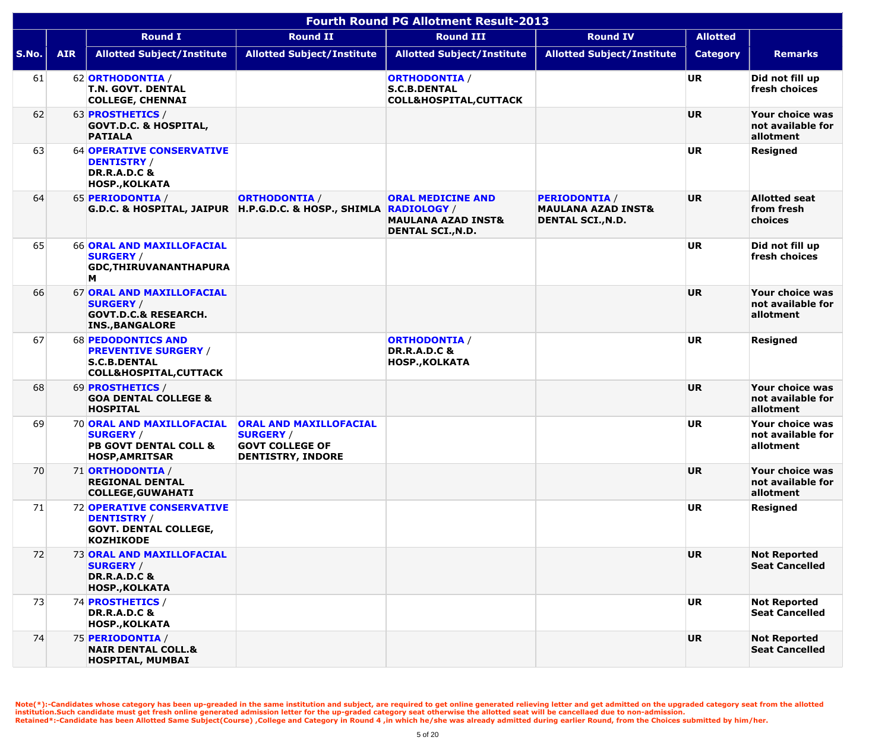|       | <b>Fourth Round PG Allotment Result-2013</b> |                                                                                                                      |                                                                                                         |                                                                                                             |                                                                                   |                 |                                                   |  |  |  |
|-------|----------------------------------------------|----------------------------------------------------------------------------------------------------------------------|---------------------------------------------------------------------------------------------------------|-------------------------------------------------------------------------------------------------------------|-----------------------------------------------------------------------------------|-----------------|---------------------------------------------------|--|--|--|
|       |                                              | <b>Round I</b>                                                                                                       | <b>Round II</b>                                                                                         | <b>Round III</b>                                                                                            | <b>Round IV</b>                                                                   | <b>Allotted</b> |                                                   |  |  |  |
| S.No. | <b>AIR</b>                                   | <b>Allotted Subject/Institute</b>                                                                                    | <b>Allotted Subject/Institute</b>                                                                       | <b>Allotted Subject/Institute</b>                                                                           | <b>Allotted Subject/Institute</b>                                                 | <b>Category</b> | <b>Remarks</b>                                    |  |  |  |
| 61    |                                              | 62 ORTHODONTIA /<br><b>T.N. GOVT. DENTAL</b><br><b>COLLEGE, CHENNAI</b>                                              |                                                                                                         | <b>ORTHODONTIA /</b><br><b>S.C.B.DENTAL</b><br><b>COLL&amp;HOSPITAL, CUTTACK</b>                            |                                                                                   | <b>UR</b>       | Did not fill up<br>fresh choices                  |  |  |  |
| 62    |                                              | 63 <b>PROSTHETICS</b> /<br><b>GOVT.D.C. &amp; HOSPITAL,</b><br><b>PATIALA</b>                                        |                                                                                                         |                                                                                                             |                                                                                   | <b>UR</b>       | Your choice was<br>not available for<br>allotment |  |  |  |
| 63    |                                              | <b>64 OPERATIVE CONSERVATIVE</b><br><b>DENTISTRY</b> /<br><b>DR.R.A.D.C &amp;</b><br><b>HOSP., KOLKATA</b>           |                                                                                                         |                                                                                                             |                                                                                   | <b>UR</b>       | <b>Resigned</b>                                   |  |  |  |
| 64    |                                              | 65 PERIODONTIA /                                                                                                     | <b>ORTHODONTIA /</b><br>G.D.C. & HOSPITAL, JAIPUR   H.P.G.D.C. & HOSP., SHIMLA                          | <b>ORAL MEDICINE AND</b><br><b>RADIOLOGY /</b><br><b>MAULANA AZAD INST&amp;</b><br><b>DENTAL SCI., N.D.</b> | <b>PERIODONTIA /</b><br><b>MAULANA AZAD INST&amp;</b><br><b>DENTAL SCI., N.D.</b> | <b>UR</b>       | <b>Allotted seat</b><br>from fresh<br>choices     |  |  |  |
| 65    |                                              | <b>66 ORAL AND MAXILLOFACIAL</b><br><b>SURGERY /</b><br><b>GDC, THIRUVANANTHAPURA</b><br>M                           |                                                                                                         |                                                                                                             |                                                                                   | <b>UR</b>       | Did not fill up<br>fresh choices                  |  |  |  |
| 66    |                                              | 67 ORAL AND MAXILLOFACIAL<br><b>SURGERY /</b><br><b>GOVT.D.C.&amp; RESEARCH.</b><br><b>INS., BANGALORE</b>           |                                                                                                         |                                                                                                             |                                                                                   | <b>UR</b>       | Your choice was<br>not available for<br>allotment |  |  |  |
| 67    |                                              | <b>68 PEDODONTICS AND</b><br><b>PREVENTIVE SURGERY /</b><br><b>S.C.B.DENTAL</b><br><b>COLL&amp;HOSPITAL, CUTTACK</b> |                                                                                                         | <b>ORTHODONTIA /</b><br><b>DR.R.A.D.C &amp;</b><br><b>HOSP., KOLKATA</b>                                    |                                                                                   | <b>UR</b>       | <b>Resigned</b>                                   |  |  |  |
| 68    |                                              | 69 <b>PROSTHETICS</b> /<br><b>GOA DENTAL COLLEGE &amp;</b><br><b>HOSPITAL</b>                                        |                                                                                                         |                                                                                                             |                                                                                   | <b>UR</b>       | Your choice was<br>not available for<br>allotment |  |  |  |
| 69    |                                              | <b>70 ORAL AND MAXILLOFACIAL</b><br><b>SURGERY /</b><br><b>PB GOVT DENTAL COLL &amp;</b><br><b>HOSP, AMRITSAR</b>    | <b>ORAL AND MAXILLOFACIAL</b><br><b>SURGERY /</b><br><b>GOVT COLLEGE OF</b><br><b>DENTISTRY, INDORE</b> |                                                                                                             |                                                                                   | UR              | Your choice was<br>not available for<br>allotment |  |  |  |
| 70    |                                              | 71 ORTHODONTIA /<br><b>REGIONAL DENTAL</b><br><b>COLLEGE, GUWAHATI</b>                                               |                                                                                                         |                                                                                                             |                                                                                   | <b>UR</b>       | Your choice was<br>not available for<br>allotment |  |  |  |
| 71    |                                              | 72 OPERATIVE CONSERVATIVE<br><b>DENTISTRY</b> /<br><b>GOVT. DENTAL COLLEGE,</b><br><b>KOZHIKODE</b>                  |                                                                                                         |                                                                                                             |                                                                                   | <b>UR</b>       | <b>Resigned</b>                                   |  |  |  |
| 72    |                                              | <b>73 ORAL AND MAXILLOFACIAL</b><br><b>SURGERY</b> /<br><b>DR.R.A.D.C &amp;</b><br><b>HOSP., KOLKATA</b>             |                                                                                                         |                                                                                                             |                                                                                   | <b>UR</b>       | <b>Not Reported</b><br><b>Seat Cancelled</b>      |  |  |  |
| 73    |                                              | 74 PROSTHETICS /<br><b>DR.R.A.D.C &amp;</b><br><b>HOSP., KOLKATA</b>                                                 |                                                                                                         |                                                                                                             |                                                                                   | <b>UR</b>       | <b>Not Reported</b><br><b>Seat Cancelled</b>      |  |  |  |
| 74    |                                              | 75 PERIODONTIA /<br><b>NAIR DENTAL COLL.&amp;</b><br><b>HOSPITAL, MUMBAI</b>                                         |                                                                                                         |                                                                                                             |                                                                                   | <b>UR</b>       | <b>Not Reported</b><br><b>Seat Cancelled</b>      |  |  |  |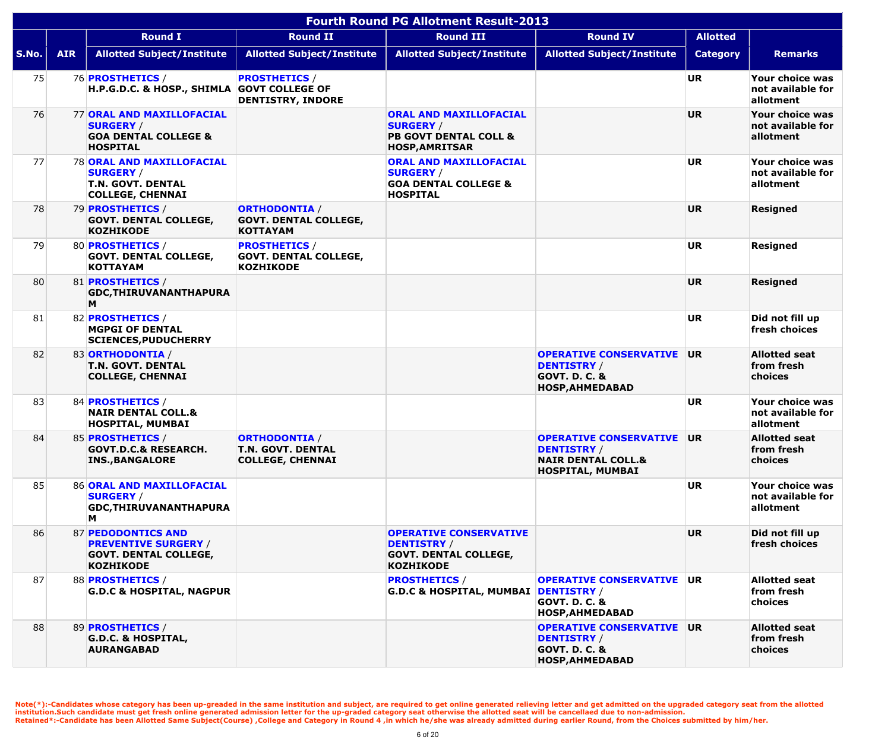|       | <b>Fourth Round PG Allotment Result-2013</b> |                                                                                                             |                                                                             |                                                                                                                |                                                                                                                 |                 |                                                   |  |  |  |
|-------|----------------------------------------------|-------------------------------------------------------------------------------------------------------------|-----------------------------------------------------------------------------|----------------------------------------------------------------------------------------------------------------|-----------------------------------------------------------------------------------------------------------------|-----------------|---------------------------------------------------|--|--|--|
|       |                                              | <b>Round I</b>                                                                                              | <b>Round II</b>                                                             | <b>Round III</b>                                                                                               | <b>Round IV</b>                                                                                                 | <b>Allotted</b> |                                                   |  |  |  |
| S.No. | <b>AIR</b>                                   | <b>Allotted Subject/Institute</b>                                                                           | <b>Allotted Subject/Institute</b>                                           | <b>Allotted Subject/Institute</b>                                                                              | <b>Allotted Subject/Institute</b>                                                                               | <b>Category</b> | <b>Remarks</b>                                    |  |  |  |
| 75    |                                              | 76 <b>PROSTHETICS</b> /<br>H.P.G.D.C. & HOSP., SHIMLA GOVT COLLEGE OF                                       | <b>PROSTHETICS /</b><br><b>DENTISTRY, INDORE</b>                            |                                                                                                                |                                                                                                                 | <b>UR</b>       | Your choice was<br>not available for<br>allotment |  |  |  |
| 76    |                                              | <b>77 ORAL AND MAXILLOFACIAL</b><br><b>SURGERY /</b><br><b>GOA DENTAL COLLEGE &amp;</b><br><b>HOSPITAL</b>  |                                                                             | <b>ORAL AND MAXILLOFACIAL</b><br><b>SURGERY /</b><br><b>PB GOVT DENTAL COLL &amp;</b><br><b>HOSP, AMRITSAR</b> |                                                                                                                 | <b>UR</b>       | Your choice was<br>not available for<br>allotment |  |  |  |
| 77    |                                              | <b>78 ORAL AND MAXILLOFACIAL</b><br><b>SURGERY /</b><br><b>T.N. GOVT. DENTAL</b><br><b>COLLEGE, CHENNAI</b> |                                                                             | <b>ORAL AND MAXILLOFACIAL</b><br><b>SURGERY /</b><br><b>GOA DENTAL COLLEGE &amp;</b><br><b>HOSPITAL</b>        |                                                                                                                 | <b>UR</b>       | Your choice was<br>not available for<br>allotment |  |  |  |
| 78    |                                              | 79 PROSTHETICS /<br><b>GOVT. DENTAL COLLEGE,</b><br><b>KOZHIKODE</b>                                        | <b>ORTHODONTIA /</b><br><b>GOVT. DENTAL COLLEGE,</b><br><b>KOTTAYAM</b>     |                                                                                                                |                                                                                                                 | <b>UR</b>       | Resigned                                          |  |  |  |
| 79    |                                              | 80 <b>PROSTHETICS</b> /<br><b>GOVT. DENTAL COLLEGE,</b><br><b>KOTTAYAM</b>                                  | <b>PROSTHETICS /</b><br><b>GOVT. DENTAL COLLEGE,</b><br><b>KOZHIKODE</b>    |                                                                                                                |                                                                                                                 | <b>UR</b>       | <b>Resigned</b>                                   |  |  |  |
| 80    |                                              | 81 <b>PROSTHETICS</b> /<br><b>GDC, THIRUVANANTHAPURA</b><br>M                                               |                                                                             |                                                                                                                |                                                                                                                 | <b>UR</b>       | <b>Resigned</b>                                   |  |  |  |
| 81    |                                              | 82 PROSTHETICS /<br><b>MGPGI OF DENTAL</b><br><b>SCIENCES, PUDUCHERRY</b>                                   |                                                                             |                                                                                                                |                                                                                                                 | <b>UR</b>       | Did not fill up<br>fresh choices                  |  |  |  |
| 82    |                                              | 83 ORTHODONTIA /<br><b>T.N. GOVT. DENTAL</b><br><b>COLLEGE, CHENNAI</b>                                     |                                                                             |                                                                                                                | <b>OPERATIVE CONSERVATIVE</b><br><b>DENTISTRY /</b><br><b>GOVT. D. C. &amp;</b><br><b>HOSP, AHMEDABAD</b>       | <b>UR</b>       | <b>Allotted seat</b><br>from fresh<br>choices     |  |  |  |
| 83    |                                              | 84 <b>PROSTHETICS</b> /<br><b>NAIR DENTAL COLL.&amp;</b><br><b>HOSPITAL, MUMBAI</b>                         |                                                                             |                                                                                                                |                                                                                                                 | <b>UR</b>       | Your choice was<br>not available for<br>allotment |  |  |  |
| 84    |                                              | 85 <b>PROSTHETICS</b> /<br><b>GOVT.D.C.&amp; RESEARCH.</b><br><b>INS., BANGALORE</b>                        | <b>ORTHODONTIA /</b><br><b>T.N. GOVT. DENTAL</b><br><b>COLLEGE, CHENNAI</b> |                                                                                                                | <b>OPERATIVE CONSERVATIVE</b><br><b>DENTISTRY</b> /<br><b>NAIR DENTAL COLL.&amp;</b><br><b>HOSPITAL, MUMBAI</b> | <b>UR</b>       | <b>Allotted seat</b><br>from fresh<br>choices     |  |  |  |
| 85    |                                              | 86 ORAL AND MAXILLOFACIAL<br><b>SURGERY /</b><br><b>GDC, THIRUVANANTHAPURA</b><br>М                         |                                                                             |                                                                                                                |                                                                                                                 | <b>UR</b>       | Your choice was<br>not available for<br>allotment |  |  |  |
| 86    |                                              | 87 PEDODONTICS AND<br><b>PREVENTIVE SURGERY /</b><br><b>GOVT. DENTAL COLLEGE,</b><br><b>KOZHIKODE</b>       |                                                                             | <b>OPERATIVE CONSERVATIVE</b><br><b>DENTISTRY /</b><br><b>GOVT. DENTAL COLLEGE,</b><br><b>KOZHIKODE</b>        |                                                                                                                 | <b>UR</b>       | Did not fill up<br>fresh choices                  |  |  |  |
| 87    |                                              | 88 <b>PROSTHETICS</b> /<br><b>G.D.C &amp; HOSPITAL, NAGPUR</b>                                              |                                                                             | <b>PROSTHETICS /</b><br>G.D.C & HOSPITAL, MUMBAI DENTISTRY /                                                   | <b>OPERATIVE CONSERVATIVE</b><br><b>GOVT. D. C. &amp;</b><br><b>HOSP, AHMEDABAD</b>                             | <b>UR</b>       | <b>Allotted seat</b><br>from fresh<br>choices     |  |  |  |
| 88    |                                              | 89 PROSTHETICS /<br><b>G.D.C. &amp; HOSPITAL,</b><br><b>AURANGABAD</b>                                      |                                                                             |                                                                                                                | <b>OPERATIVE CONSERVATIVE</b><br><b>DENTISTRY /</b><br><b>GOVT. D. C. &amp;</b><br><b>HOSP, AHMEDABAD</b>       | <b>UR</b>       | <b>Allotted seat</b><br>from fresh<br>choices     |  |  |  |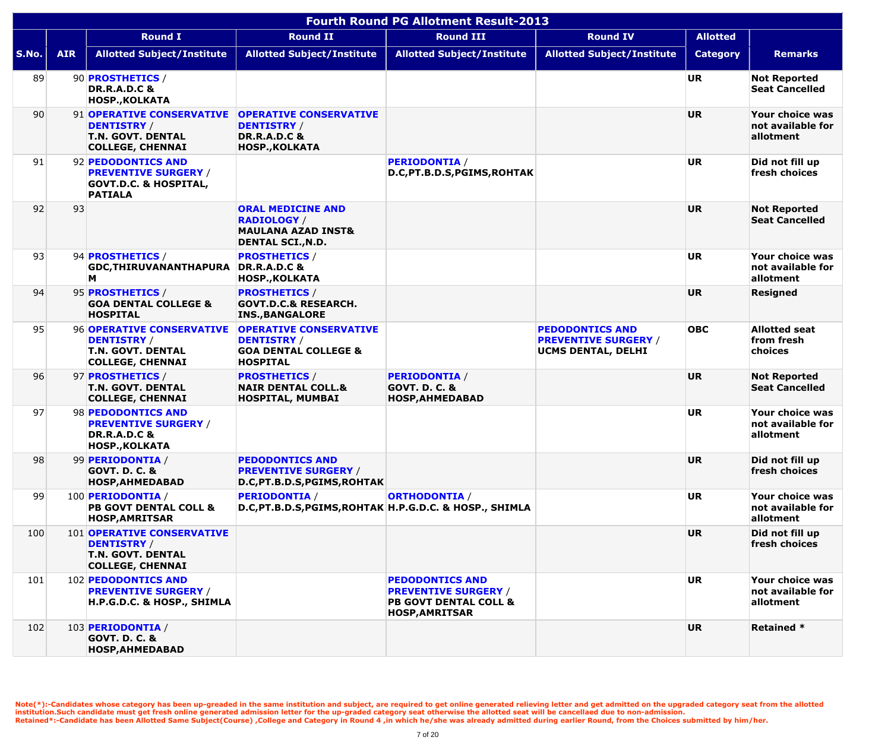|       |            |                                                                                                                |                                                                                                             | <b>Fourth Round PG Allotment Result-2013</b>                                                                       |                                                                             |                 |                                                   |
|-------|------------|----------------------------------------------------------------------------------------------------------------|-------------------------------------------------------------------------------------------------------------|--------------------------------------------------------------------------------------------------------------------|-----------------------------------------------------------------------------|-----------------|---------------------------------------------------|
|       |            | <b>Round I</b>                                                                                                 | <b>Round II</b>                                                                                             | <b>Round III</b>                                                                                                   | <b>Round IV</b>                                                             | <b>Allotted</b> |                                                   |
| S.No. | <b>AIR</b> | <b>Allotted Subject/Institute</b>                                                                              | <b>Allotted Subject/Institute</b>                                                                           | <b>Allotted Subject/Institute</b>                                                                                  | <b>Allotted Subject/Institute</b>                                           | <b>Category</b> | <b>Remarks</b>                                    |
| 89    |            | 90 PROSTHETICS /<br><b>DR.R.A.D.C &amp;</b><br><b>HOSP., KOLKATA</b>                                           |                                                                                                             |                                                                                                                    |                                                                             | <b>UR</b>       | <b>Not Reported</b><br><b>Seat Cancelled</b>      |
| 90    |            | 91 OPERATIVE CONSERVATIVE<br><b>DENTISTRY /</b><br><b>T.N. GOVT. DENTAL</b><br><b>COLLEGE, CHENNAI</b>         | <b>OPERATIVE CONSERVATIVE</b><br><b>DENTISTRY /</b><br><b>DR.R.A.D.C &amp;</b><br><b>HOSP., KOLKATA</b>     |                                                                                                                    |                                                                             | <b>UR</b>       | Your choice was<br>not available for<br>allotment |
| 91    |            | 92 PEDODONTICS AND<br><b>PREVENTIVE SURGERY /</b><br><b>GOVT.D.C. &amp; HOSPITAL,</b><br><b>PATIALA</b>        |                                                                                                             | <b>PERIODONTIA /</b><br>D.C, PT.B.D.S, PGIMS, ROHTAK                                                               |                                                                             | <b>UR</b>       | Did not fill up<br>fresh choices                  |
| 92    | 93         |                                                                                                                | <b>ORAL MEDICINE AND</b><br><b>RADIOLOGY</b> /<br><b>MAULANA AZAD INST&amp;</b><br><b>DENTAL SCI., N.D.</b> |                                                                                                                    |                                                                             | <b>UR</b>       | <b>Not Reported</b><br><b>Seat Cancelled</b>      |
| 93    |            | 94 <b>PROSTHETICS</b> /<br><b>GDC, THIRUVANANTHAPURA</b><br>M                                                  | <b>PROSTHETICS /</b><br><b>DR.R.A.D.C &amp;</b><br><b>HOSP., KOLKATA</b>                                    |                                                                                                                    |                                                                             | <b>UR</b>       | Your choice was<br>not available for<br>allotment |
| 94    |            | 95 PROSTHETICS /<br><b>GOA DENTAL COLLEGE &amp;</b><br><b>HOSPITAL</b>                                         | <b>PROSTHETICS /</b><br><b>GOVT.D.C.&amp; RESEARCH.</b><br><b>INS., BANGALORE</b>                           |                                                                                                                    |                                                                             | <b>UR</b>       | <b>Resigned</b>                                   |
| 95    |            | 96 OPERATIVE CONSERVATIVE<br><b>DENTISTRY /</b><br><b>T.N. GOVT. DENTAL</b><br><b>COLLEGE, CHENNAI</b>         | <b>OPERATIVE CONSERVATIVE</b><br><b>DENTISTRY /</b><br><b>GOA DENTAL COLLEGE &amp;</b><br><b>HOSPITAL</b>   |                                                                                                                    | <b>PEDODONTICS AND</b><br><b>PREVENTIVE SURGERY /</b><br>UCMS DENTAL, DELHI | <b>OBC</b>      | <b>Allotted seat</b><br>from fresh<br>choices     |
| 96    |            | 97 <b>PROSTHETICS</b> /<br><b>T.N. GOVT. DENTAL</b><br><b>COLLEGE, CHENNAI</b>                                 | <b>PROSTHETICS /</b><br><b>NAIR DENTAL COLL.&amp;</b><br>HOSPITAL, MUMBAI                                   | <b>PERIODONTIA /</b><br><b>GOVT. D. C. &amp;</b><br><b>HOSP, AHMEDABAD</b>                                         |                                                                             | <b>UR</b>       | <b>Not Reported</b><br><b>Seat Cancelled</b>      |
| 97    |            | 98 PEDODONTICS AND<br><b>PREVENTIVE SURGERY /</b><br><b>DR.R.A.D.C &amp;</b><br><b>HOSP., KOLKATA</b>          |                                                                                                             |                                                                                                                    |                                                                             | <b>UR</b>       | Your choice was<br>not available for<br>allotment |
| 98    |            | 99 PERIODONTIA /<br><b>GOVT. D. C. &amp;</b><br><b>HOSP, AHMEDABAD</b>                                         | <b>PEDODONTICS AND</b><br><b>PREVENTIVE SURGERY /</b><br>D.C, PT.B.D.S, PGIMS, ROHTAK                       |                                                                                                                    |                                                                             | <b>UR</b>       | Did not fill up<br>fresh choices                  |
| 99    |            | 100 PERIODONTIA /<br><b>PB GOVT DENTAL COLL &amp;</b><br><b>HOSP, AMRITSAR</b>                                 | <b>PERIODONTIA /</b><br>D.C, PT.B.D.S, PGIMS, ROHTAK H.P.G.D.C. & HOSP., SHIMLA                             | <b>ORTHODONTIA /</b>                                                                                               |                                                                             | <b>UR</b>       | Your choice was<br>not available for<br>allotment |
| 100   |            | <b>101 OPERATIVE CONSERVATIVE</b><br><b>DENTISTRY /</b><br><b>T.N. GOVT. DENTAL</b><br><b>COLLEGE, CHENNAI</b> |                                                                                                             |                                                                                                                    |                                                                             | <b>UR</b>       | Did not fill up<br>fresh choices                  |
| 101   |            | 102 PEDODONTICS AND<br><b>PREVENTIVE SURGERY /</b><br>H.P.G.D.C. & HOSP., SHIMLA                               |                                                                                                             | <b>PEDODONTICS AND</b><br><b>PREVENTIVE SURGERY /</b><br><b>PB GOVT DENTAL COLL &amp;</b><br><b>HOSP, AMRITSAR</b> |                                                                             | <b>UR</b>       | Your choice was<br>not available for<br>allotment |
| 102   |            | 103 PERIODONTIA /<br><b>GOVT. D. C. &amp;</b><br><b>HOSP, AHMEDABAD</b>                                        |                                                                                                             |                                                                                                                    |                                                                             | <b>UR</b>       | <b>Retained *</b>                                 |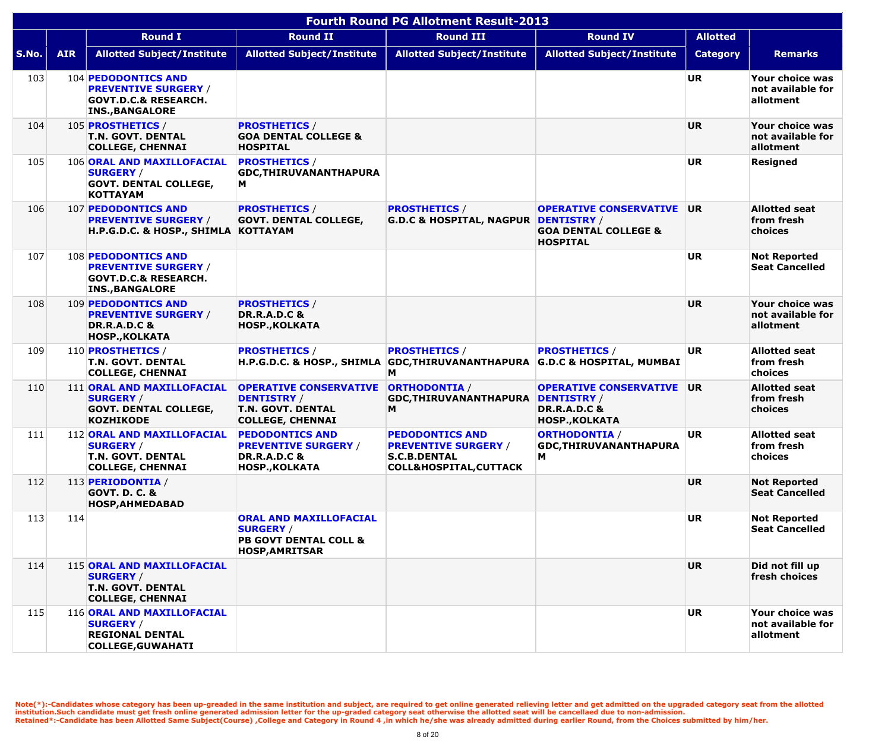|       | <b>Fourth Round PG Allotment Result-2013</b> |                                                                                                                 |                                                                                                                |                                                                                                                   |                                                                                                         |                 |                                                   |  |  |  |
|-------|----------------------------------------------|-----------------------------------------------------------------------------------------------------------------|----------------------------------------------------------------------------------------------------------------|-------------------------------------------------------------------------------------------------------------------|---------------------------------------------------------------------------------------------------------|-----------------|---------------------------------------------------|--|--|--|
|       |                                              | <b>Round I</b>                                                                                                  | <b>Round II</b>                                                                                                | <b>Round III</b>                                                                                                  | <b>Round IV</b>                                                                                         | <b>Allotted</b> |                                                   |  |  |  |
| S.No. | <b>AIR</b>                                   | <b>Allotted Subject/Institute</b>                                                                               | <b>Allotted Subject/Institute</b>                                                                              | <b>Allotted Subject/Institute</b>                                                                                 | <b>Allotted Subject/Institute</b>                                                                       | <b>Category</b> | <b>Remarks</b>                                    |  |  |  |
| 103   |                                              | 104 PEDODONTICS AND<br><b>PREVENTIVE SURGERY /</b><br><b>GOVT.D.C.&amp; RESEARCH.</b><br><b>INS., BANGALORE</b> |                                                                                                                |                                                                                                                   |                                                                                                         | <b>UR</b>       | Your choice was<br>not available for<br>allotment |  |  |  |
| 104   |                                              | 105 <b>PROSTHETICS</b> /<br><b>T.N. GOVT. DENTAL</b><br><b>COLLEGE, CHENNAI</b>                                 | <b>PROSTHETICS /</b><br><b>GOA DENTAL COLLEGE &amp;</b><br><b>HOSPITAL</b>                                     |                                                                                                                   |                                                                                                         | <b>UR</b>       | Your choice was<br>not available for<br>allotment |  |  |  |
| 105   |                                              | 106 ORAL AND MAXILLOFACIAL<br><b>SURGERY /</b><br><b>GOVT. DENTAL COLLEGE,</b><br><b>KOTTAYAM</b>               | <b>PROSTHETICS /</b><br><b>GDC, THIRUVANANTHAPURA</b><br>M                                                     |                                                                                                                   |                                                                                                         | <b>UR</b>       | <b>Resigned</b>                                   |  |  |  |
| 106   |                                              | 107 PEDODONTICS AND<br><b>PREVENTIVE SURGERY /</b><br>H.P.G.D.C. & HOSP., SHIMLA KOTTAYAM                       | <b>PROSTHETICS /</b><br><b>GOVT. DENTAL COLLEGE,</b>                                                           | <b>PROSTHETICS /</b><br>G.D.C & HOSPITAL, NAGPUR DENTISTRY /                                                      | <b>OPERATIVE CONSERVATIVE</b><br><b>GOA DENTAL COLLEGE &amp;</b><br><b>HOSPITAL</b>                     | UR.             | <b>Allotted seat</b><br>from fresh<br>choices     |  |  |  |
| 107   |                                              | 108 PEDODONTICS AND<br><b>PREVENTIVE SURGERY /</b><br><b>GOVT.D.C.&amp; RESEARCH.</b><br><b>INS., BANGALORE</b> |                                                                                                                |                                                                                                                   |                                                                                                         | <b>UR</b>       | <b>Not Reported</b><br><b>Seat Cancelled</b>      |  |  |  |
| 108   |                                              | 109 PEDODONTICS AND<br><b>PREVENTIVE SURGERY /</b><br><b>DR.R.A.D.C &amp;</b><br><b>HOSP., KOLKATA</b>          | <b>PROSTHETICS /</b><br><b>DR.R.A.D.C &amp;</b><br><b>HOSP., KOLKATA</b>                                       |                                                                                                                   |                                                                                                         | <b>UR</b>       | Your choice was<br>not available for<br>allotment |  |  |  |
| 109   |                                              | 110 <b>PROSTHETICS</b> /<br><b>T.N. GOVT. DENTAL</b><br><b>COLLEGE, CHENNAI</b>                                 | <b>PROSTHETICS /</b>                                                                                           | <b>PROSTHETICS /</b><br>H.P.G.D.C. & HOSP., SHIMLA GDC, THIRUVANANTHAPURA G.D.C & HOSPITAL, MUMBAI<br>Μ           | <b>PROSTHETICS /</b>                                                                                    | <b>UR</b>       | <b>Allotted seat</b><br>from fresh<br>choices     |  |  |  |
| 110   |                                              | 111 ORAL AND MAXILLOFACIAL<br><b>SURGERY /</b><br><b>GOVT. DENTAL COLLEGE,</b><br><b>KOZHIKODE</b>              | <b>OPERATIVE CONSERVATIVE</b><br><b>DENTISTRY /</b><br><b>T.N. GOVT. DENTAL</b><br><b>COLLEGE, CHENNAI</b>     | <b>ORTHODONTIA /</b><br><b>GDC, THIRUVANANTHAPURA</b><br>M                                                        | <b>OPERATIVE CONSERVATIVE</b><br><b>DENTISTRY /</b><br><b>DR.R.A.D.C &amp;</b><br><b>HOSP., KOLKATA</b> | <b>UR</b>       | <b>Allotted seat</b><br>from fresh<br>choices     |  |  |  |
| 111   |                                              | 112 ORAL AND MAXILLOFACIAL<br><b>SURGERY /</b><br><b>T.N. GOVT. DENTAL</b><br><b>COLLEGE, CHENNAI</b>           | <b>PEDODONTICS AND</b><br><b>PREVENTIVE SURGERY /</b><br><b>DR.R.A.D.C &amp;</b><br><b>HOSP., KOLKATA</b>      | <b>PEDODONTICS AND</b><br><b>PREVENTIVE SURGERY /</b><br><b>S.C.B.DENTAL</b><br><b>COLL&amp;HOSPITAL, CUTTACK</b> | <b>ORTHODONTIA /</b><br>GDC, THIRUVANANTHAPURA<br>M                                                     | UR.             | <b>Allotted seat</b><br>from fresh<br>choices     |  |  |  |
| 112   |                                              | 113 PERIODONTIA /<br><b>GOVT. D. C. &amp;</b><br><b>HOSP, AHMEDABAD</b>                                         |                                                                                                                |                                                                                                                   |                                                                                                         | <b>UR</b>       | <b>Not Reported</b><br><b>Seat Cancelled</b>      |  |  |  |
| 113   | 114                                          |                                                                                                                 | <b>ORAL AND MAXILLOFACIAL</b><br><b>SURGERY /</b><br><b>PB GOVT DENTAL COLL &amp;</b><br><b>HOSP, AMRITSAR</b> |                                                                                                                   |                                                                                                         | <b>UR</b>       | <b>Not Reported</b><br><b>Seat Cancelled</b>      |  |  |  |
| 114   |                                              | 115 ORAL AND MAXILLOFACIAL<br><b>SURGERY</b> /<br><b>T.N. GOVT. DENTAL</b><br><b>COLLEGE, CHENNAI</b>           |                                                                                                                |                                                                                                                   |                                                                                                         | <b>UR</b>       | Did not fill up<br>fresh choices                  |  |  |  |
| 115   |                                              | 116 ORAL AND MAXILLOFACIAL<br><b>SURGERY /</b><br><b>REGIONAL DENTAL</b><br><b>COLLEGE, GUWAHATI</b>            |                                                                                                                |                                                                                                                   |                                                                                                         | <b>UR</b>       | Your choice was<br>not available for<br>allotment |  |  |  |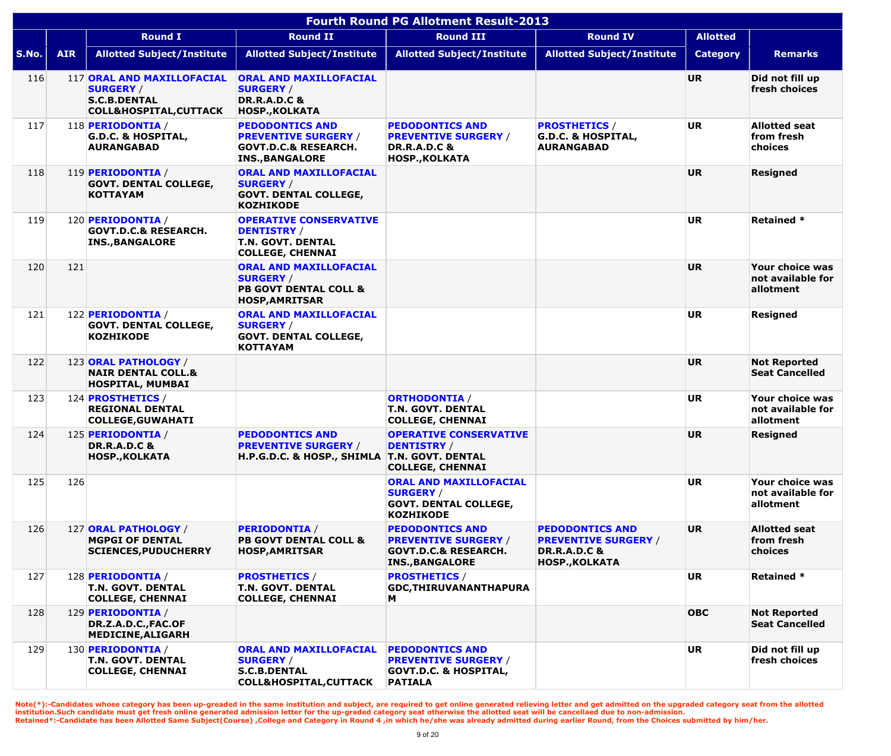|       | <b>Fourth Round PG Allotment Result-2013</b> |                                                                                                            |                                                                                                                    |                                                                                                                    |                                                                                                           |                 |                                                   |  |  |  |  |  |
|-------|----------------------------------------------|------------------------------------------------------------------------------------------------------------|--------------------------------------------------------------------------------------------------------------------|--------------------------------------------------------------------------------------------------------------------|-----------------------------------------------------------------------------------------------------------|-----------------|---------------------------------------------------|--|--|--|--|--|
|       |                                              | <b>Round I</b>                                                                                             | <b>Round II</b>                                                                                                    | <b>Round III</b>                                                                                                   | <b>Round IV</b>                                                                                           | <b>Allotted</b> |                                                   |  |  |  |  |  |
| S.No. | <b>AIR</b>                                   | <b>Allotted Subject/Institute</b>                                                                          | <b>Allotted Subject/Institute</b>                                                                                  | <b>Allotted Subject/Institute</b>                                                                                  | <b>Allotted Subject/Institute</b>                                                                         | <b>Category</b> | <b>Remarks</b>                                    |  |  |  |  |  |
| 116   |                                              | 117 ORAL AND MAXILLOFACIAL<br><b>SURGERY /</b><br><b>S.C.B.DENTAL</b><br><b>COLL&amp;HOSPITAL, CUTTACK</b> | <b>ORAL AND MAXILLOFACIAL</b><br><b>SURGERY /</b><br><b>DR.R.A.D.C &amp;</b><br><b>HOSP., KOLKATA</b>              |                                                                                                                    |                                                                                                           | <b>UR</b>       | Did not fill up<br>fresh choices                  |  |  |  |  |  |
| 117   |                                              | 118 PERIODONTIA /<br><b>G.D.C. &amp; HOSPITAL,</b><br><b>AURANGABAD</b>                                    | <b>PEDODONTICS AND</b><br><b>PREVENTIVE SURGERY /</b><br><b>GOVT.D.C.&amp; RESEARCH.</b><br><b>INS., BANGALORE</b> | <b>PEDODONTICS AND</b><br><b>PREVENTIVE SURGERY /</b><br><b>DR.R.A.D.C &amp;</b><br><b>HOSP., KOLKATA</b>          | <b>PROSTHETICS /</b><br><b>G.D.C. &amp; HOSPITAL,</b><br><b>AURANGABAD</b>                                | <b>UR</b>       | <b>Allotted seat</b><br>from fresh<br>choices     |  |  |  |  |  |
| 118   |                                              | 119 PERIODONTIA /<br><b>GOVT. DENTAL COLLEGE,</b><br><b>KOTTAYAM</b>                                       | <b>ORAL AND MAXILLOFACIAL</b><br><b>SURGERY /</b><br><b>GOVT. DENTAL COLLEGE,</b><br><b>KOZHIKODE</b>              |                                                                                                                    |                                                                                                           | <b>UR</b>       | <b>Resigned</b>                                   |  |  |  |  |  |
| 119   |                                              | 120 PERIODONTIA /<br><b>GOVT.D.C.&amp; RESEARCH.</b><br><b>INS., BANGALORE</b>                             | <b>OPERATIVE CONSERVATIVE</b><br><b>DENTISTRY /</b><br><b>T.N. GOVT. DENTAL</b><br><b>COLLEGE, CHENNAI</b>         |                                                                                                                    |                                                                                                           | <b>UR</b>       | <b>Retained *</b>                                 |  |  |  |  |  |
| 120   | 121                                          |                                                                                                            | <b>ORAL AND MAXILLOFACIAL</b><br><b>SURGERY /</b><br><b>PB GOVT DENTAL COLL &amp;</b><br><b>HOSP, AMRITSAR</b>     |                                                                                                                    |                                                                                                           | <b>UR</b>       | Your choice was<br>not available for<br>allotment |  |  |  |  |  |
| 121   |                                              | 122 PERIODONTIA /<br><b>GOVT. DENTAL COLLEGE,</b><br><b>KOZHIKODE</b>                                      | <b>ORAL AND MAXILLOFACIAL</b><br><b>SURGERY /</b><br><b>GOVT. DENTAL COLLEGE,</b><br><b>KOTTAYAM</b>               |                                                                                                                    |                                                                                                           | <b>UR</b>       | <b>Resigned</b>                                   |  |  |  |  |  |
| 122   |                                              | 123 ORAL PATHOLOGY /<br><b>NAIR DENTAL COLL.&amp;</b><br><b>HOSPITAL, MUMBAI</b>                           |                                                                                                                    |                                                                                                                    |                                                                                                           | <b>UR</b>       | <b>Not Reported</b><br><b>Seat Cancelled</b>      |  |  |  |  |  |
| 123   |                                              | 124 <b>PROSTHETICS</b> /<br><b>REGIONAL DENTAL</b><br><b>COLLEGE,GUWAHATI</b>                              |                                                                                                                    | <b>ORTHODONTIA /</b><br><b>T.N. GOVT. DENTAL</b><br><b>COLLEGE, CHENNAI</b>                                        |                                                                                                           | <b>UR</b>       | Your choice was<br>not available for<br>allotment |  |  |  |  |  |
| 124   |                                              | 125 PERIODONTIA /<br><b>DR.R.A.D.C &amp;</b><br><b>HOSP., KOLKATA</b>                                      | <b>PEDODONTICS AND</b><br><b>PREVENTIVE SURGERY /</b><br>H.P.G.D.C. & HOSP., SHIMLA                                | <b>OPERATIVE CONSERVATIVE</b><br><b>DENTISTRY</b> /<br><b>T.N. GOVT. DENTAL</b><br><b>COLLEGE, CHENNAI</b>         |                                                                                                           | <b>UR</b>       | <b>Resigned</b>                                   |  |  |  |  |  |
| 125   | 126                                          |                                                                                                            |                                                                                                                    | <b>ORAL AND MAXILLOFACIAL</b><br><b>SURGERY /</b><br><b>GOVT. DENTAL COLLEGE,</b><br><b>KOZHIKODE</b>              |                                                                                                           | <b>UR</b>       | Your choice was<br>not available for<br>allotment |  |  |  |  |  |
| 126   |                                              | 127 ORAL PATHOLOGY /<br><b>MGPGI OF DENTAL</b><br><b>SCIENCES, PUDUCHERRY</b>                              | <b>PERIODONTIA /</b><br><b>PB GOVT DENTAL COLL &amp;</b><br><b>HOSP, AMRITSAR</b>                                  | <b>PEDODONTICS AND</b><br><b>PREVENTIVE SURGERY /</b><br><b>GOVT.D.C.&amp; RESEARCH.</b><br><b>INS., BANGALORE</b> | <b>PEDODONTICS AND</b><br><b>PREVENTIVE SURGERY /</b><br><b>DR.R.A.D.C &amp;</b><br><b>HOSP., KOLKATA</b> | <b>UR</b>       | <b>Allotted seat</b><br>from fresh<br>choices     |  |  |  |  |  |
| 127   |                                              | 128 PERIODONTIA /<br><b>T.N. GOVT. DENTAL</b><br><b>COLLEGE, CHENNAI</b>                                   | <b>PROSTHETICS /</b><br><b>T.N. GOVT. DENTAL</b><br><b>COLLEGE, CHENNAI</b>                                        | <b>PROSTHETICS /</b><br><b>GDC, THIRUVANANTHAPURA</b><br>M                                                         |                                                                                                           | <b>UR</b>       | <b>Retained *</b>                                 |  |  |  |  |  |
| 128   |                                              | 129 PERIODONTIA /<br>DR.Z.A.D.C., FAC.OF<br><b>MEDICINE, ALIGARH</b>                                       |                                                                                                                    |                                                                                                                    |                                                                                                           | <b>OBC</b>      | <b>Not Reported</b><br><b>Seat Cancelled</b>      |  |  |  |  |  |
| 129   |                                              | 130 PERIODONTIA /<br>T.N. GOVT. DENTAL<br><b>COLLEGE, CHENNAI</b>                                          | ORAL AND MAXILLOFACIAL<br><b>SURGERY /</b><br><b>S.C.B.DENTAL</b><br><b>COLL&amp;HOSPITAL,CUTTACK</b>              | <b>PEDODONTICS AND</b><br><b>PREVENTIVE SURGERY /</b><br><b>GOVT.D.C. &amp; HOSPITAL,</b><br><b>PATIALA</b>        |                                                                                                           | <b>UR</b>       | Did not fill up<br>fresh choices                  |  |  |  |  |  |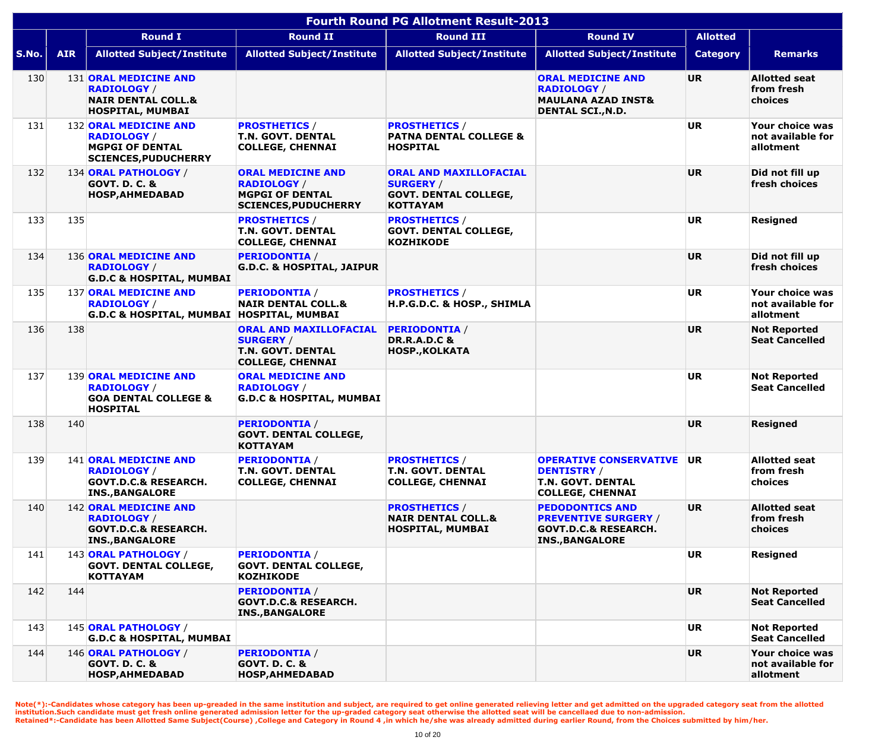|       | <b>Fourth Round PG Allotment Result-2013</b> |                                                                                                                 |                                                                                                          |                                                                                                      |                                                                                                                    |                 |                                                   |  |  |  |  |
|-------|----------------------------------------------|-----------------------------------------------------------------------------------------------------------------|----------------------------------------------------------------------------------------------------------|------------------------------------------------------------------------------------------------------|--------------------------------------------------------------------------------------------------------------------|-----------------|---------------------------------------------------|--|--|--|--|
|       |                                              | <b>Round I</b>                                                                                                  | <b>Round II</b>                                                                                          | <b>Round III</b>                                                                                     | <b>Round IV</b>                                                                                                    | <b>Allotted</b> |                                                   |  |  |  |  |
| S.No. | <b>AIR</b>                                   | <b>Allotted Subject/Institute</b>                                                                               | <b>Allotted Subject/Institute</b>                                                                        | <b>Allotted Subject/Institute</b>                                                                    | <b>Allotted Subject/Institute</b>                                                                                  | <b>Category</b> | <b>Remarks</b>                                    |  |  |  |  |
| 130   |                                              | <b>131 ORAL MEDICINE AND</b><br><b>RADIOLOGY /</b><br><b>NAIR DENTAL COLL.&amp;</b><br><b>HOSPITAL, MUMBAI</b>  |                                                                                                          |                                                                                                      | <b>ORAL MEDICINE AND</b><br><b>RADIOLOGY /</b><br><b>MAULANA AZAD INST&amp;</b><br><b>DENTAL SCI., N.D.</b>        | <b>UR</b>       | <b>Allotted seat</b><br>from fresh<br>choices     |  |  |  |  |
| 131   |                                              | 132 ORAL MEDICINE AND<br><b>RADIOLOGY /</b><br><b>MGPGI OF DENTAL</b><br><b>SCIENCES, PUDUCHERRY</b>            | <b>PROSTHETICS /</b><br><b>T.N. GOVT. DENTAL</b><br><b>COLLEGE, CHENNAI</b>                              | <b>PROSTHETICS /</b><br><b>PATNA DENTAL COLLEGE &amp;</b><br><b>HOSPITAL</b>                         |                                                                                                                    | <b>UR</b>       | Your choice was<br>not available for<br>allotment |  |  |  |  |
| 132   |                                              | 134 ORAL PATHOLOGY /<br><b>GOVT. D. C. &amp;</b><br><b>HOSP, AHMEDABAD</b>                                      | <b>ORAL MEDICINE AND</b><br><b>RADIOLOGY /</b><br><b>MGPGI OF DENTAL</b><br><b>SCIENCES, PUDUCHERRY</b>  | <b>ORAL AND MAXILLOFACIAL</b><br><b>SURGERY /</b><br><b>GOVT. DENTAL COLLEGE,</b><br><b>KOTTAYAM</b> |                                                                                                                    | <b>UR</b>       | Did not fill up<br>fresh choices                  |  |  |  |  |
| 133   | 135                                          |                                                                                                                 | <b>PROSTHETICS /</b><br><b>T.N. GOVT. DENTAL</b><br><b>COLLEGE, CHENNAI</b>                              | <b>PROSTHETICS /</b><br><b>GOVT. DENTAL COLLEGE,</b><br><b>KOZHIKODE</b>                             |                                                                                                                    | <b>UR</b>       | <b>Resigned</b>                                   |  |  |  |  |
| 134   |                                              | 136 ORAL MEDICINE AND<br><b>RADIOLOGY /</b><br><b>G.D.C &amp; HOSPITAL, MUMBAI</b>                              | <b>PERIODONTIA /</b><br><b>G.D.C. &amp; HOSPITAL, JAIPUR</b>                                             |                                                                                                      |                                                                                                                    | <b>UR</b>       | Did not fill up<br>fresh choices                  |  |  |  |  |
| 135   |                                              | 137 ORAL MEDICINE AND<br><b>RADIOLOGY /</b><br>G.D.C & HOSPITAL, MUMBAI   HOSPITAL, MUMBAI                      | <b>PERIODONTIA /</b><br><b>NAIR DENTAL COLL.&amp;</b>                                                    | <b>PROSTHETICS /</b><br>H.P.G.D.C. & HOSP., SHIMLA                                                   |                                                                                                                    | <b>UR</b>       | Your choice was<br>not available for<br>allotment |  |  |  |  |
| 136   | 138                                          |                                                                                                                 | <b>ORAL AND MAXILLOFACIAL</b><br><b>SURGERY /</b><br><b>T.N. GOVT. DENTAL</b><br><b>COLLEGE, CHENNAI</b> | <b>PERIODONTIA /</b><br><b>DR.R.A.D.C &amp;</b><br><b>HOSP., KOLKATA</b>                             |                                                                                                                    | <b>UR</b>       | <b>Not Reported</b><br><b>Seat Cancelled</b>      |  |  |  |  |
| 137   |                                              | <b>139 ORAL MEDICINE AND</b><br><b>RADIOLOGY</b> /<br><b>GOA DENTAL COLLEGE &amp;</b><br><b>HOSPITAL</b>        | <b>ORAL MEDICINE AND</b><br><b>RADIOLOGY</b> /<br><b>G.D.C &amp; HOSPITAL, MUMBAI</b>                    |                                                                                                      |                                                                                                                    | <b>UR</b>       | <b>Not Reported</b><br><b>Seat Cancelled</b>      |  |  |  |  |
| 138   | 140                                          |                                                                                                                 | <b>PERIODONTIA /</b><br><b>GOVT. DENTAL COLLEGE,</b><br><b>KOTTAYAM</b>                                  |                                                                                                      |                                                                                                                    | <b>UR</b>       | <b>Resigned</b>                                   |  |  |  |  |
| 139   |                                              | 141 ORAL MEDICINE AND<br><b>RADIOLOGY /</b><br><b>GOVT.D.C.&amp; RESEARCH.</b><br><b>INS., BANGALORE</b>        | <b>PERIODONTIA /</b><br><b>T.N. GOVT. DENTAL</b><br><b>COLLEGE, CHENNAI</b>                              | <b>PROSTHETICS /</b><br><b>T.N. GOVT. DENTAL</b><br><b>COLLEGE, CHENNAI</b>                          | <b>OPERATIVE CONSERVATIVE</b><br><b>DENTISTRY</b> /<br><b>T.N. GOVT. DENTAL</b><br><b>COLLEGE, CHENNAI</b>         | <b>UR</b>       | <b>Allotted seat</b><br>from fresh<br>choices     |  |  |  |  |
| 140   |                                              | <b>142 ORAL MEDICINE AND</b><br><b>RADIOLOGY /</b><br><b>GOVT.D.C.&amp; RESEARCH.</b><br><b>INS., BANGALORE</b> |                                                                                                          | <b>PROSTHETICS /</b><br><b>NAIR DENTAL COLL.&amp;</b><br><b>HOSPITAL, MUMBAI</b>                     | <b>PEDODONTICS AND</b><br><b>PREVENTIVE SURGERY /</b><br><b>GOVT.D.C.&amp; RESEARCH.</b><br><b>INS., BANGALORE</b> | UR.             | <b>Allotted seat</b><br>from fresh<br>choices     |  |  |  |  |
| 141   |                                              | 143 ORAL PATHOLOGY /<br><b>GOVT. DENTAL COLLEGE,</b><br><b>KOTTAYAM</b>                                         | <b>PERIODONTIA /</b><br><b>GOVT. DENTAL COLLEGE,</b><br><b>KOZHIKODE</b>                                 |                                                                                                      |                                                                                                                    | <b>UR</b>       | <b>Resigned</b>                                   |  |  |  |  |
| 142   | 144                                          |                                                                                                                 | <b>PERIODONTIA /</b><br><b>GOVT.D.C.&amp; RESEARCH.</b><br><b>INS., BANGALORE</b>                        |                                                                                                      |                                                                                                                    | <b>UR</b>       | <b>Not Reported</b><br><b>Seat Cancelled</b>      |  |  |  |  |
| 143   |                                              | 145 ORAL PATHOLOGY /<br><b>G.D.C &amp; HOSPITAL, MUMBAI</b>                                                     |                                                                                                          |                                                                                                      |                                                                                                                    | <b>UR</b>       | <b>Not Reported</b><br><b>Seat Cancelled</b>      |  |  |  |  |
| 144   |                                              | 146 ORAL PATHOLOGY /<br><b>GOVT. D. C. &amp;</b><br>HOSP, AHMEDABAD                                             | <b>PERIODONTIA /</b><br><b>GOVT. D. C. &amp;</b><br>HOSP, AHMEDABAD                                      |                                                                                                      |                                                                                                                    | <b>UR</b>       | Your choice was<br>not available for<br>allotment |  |  |  |  |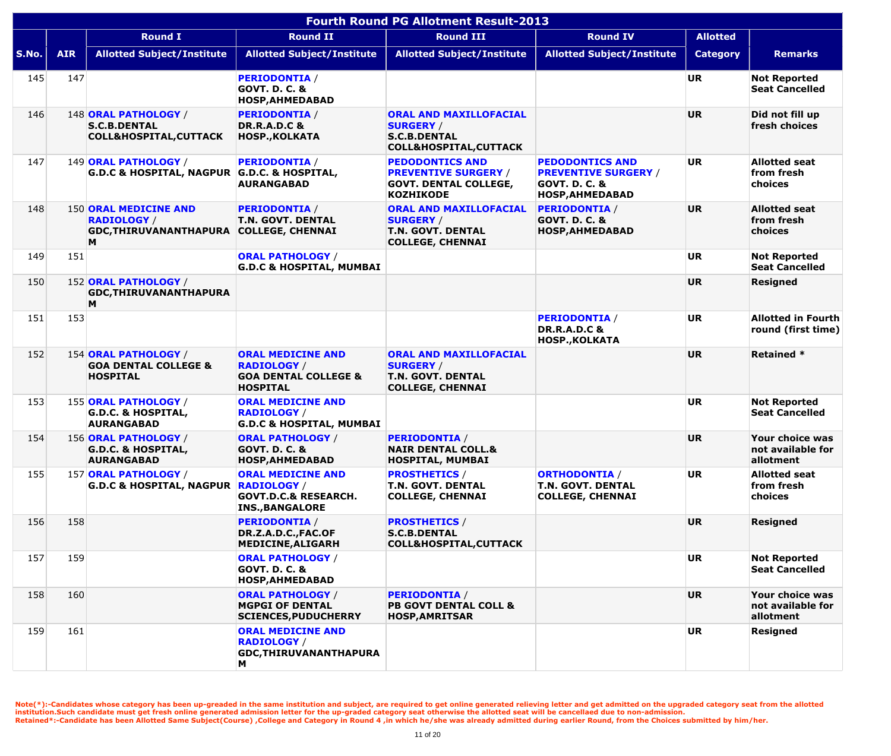|       | <b>Fourth Round PG Allotment Result-2013</b> |                                                                                   |                                                                                                      |                                                                                                               |                                                                                                             |                 |                                                   |  |  |  |  |
|-------|----------------------------------------------|-----------------------------------------------------------------------------------|------------------------------------------------------------------------------------------------------|---------------------------------------------------------------------------------------------------------------|-------------------------------------------------------------------------------------------------------------|-----------------|---------------------------------------------------|--|--|--|--|
|       |                                              | <b>Round I</b>                                                                    | <b>Round II</b>                                                                                      | <b>Round III</b>                                                                                              | <b>Round IV</b>                                                                                             | <b>Allotted</b> |                                                   |  |  |  |  |
| S.No. | <b>AIR</b>                                   | <b>Allotted Subject/Institute</b>                                                 | <b>Allotted Subject/Institute</b>                                                                    | <b>Allotted Subject/Institute</b>                                                                             | <b>Allotted Subject/Institute</b>                                                                           | <b>Category</b> | <b>Remarks</b>                                    |  |  |  |  |
| 145   | 147                                          |                                                                                   | <b>PERIODONTIA /</b><br><b>GOVT. D. C. &amp;</b><br><b>HOSP, AHMEDABAD</b>                           |                                                                                                               |                                                                                                             | <b>UR</b>       | <b>Not Reported</b><br><b>Seat Cancelled</b>      |  |  |  |  |
| 146   |                                              | 148 ORAL PATHOLOGY /<br><b>S.C.B.DENTAL</b><br><b>COLL&amp;HOSPITAL, CUTTACK</b>  | <b>PERIODONTIA /</b><br><b>DR.R.A.D.C &amp;</b><br><b>HOSP., KOLKATA</b>                             | <b>ORAL AND MAXILLOFACIAL</b><br><b>SURGERY /</b><br><b>S.C.B.DENTAL</b><br><b>COLL&amp;HOSPITAL, CUTTACK</b> |                                                                                                             | <b>UR</b>       | Did not fill up<br>fresh choices                  |  |  |  |  |
| 147   |                                              | 149 ORAL PATHOLOGY /<br>G.D.C & HOSPITAL, NAGPUR G.D.C. & HOSPITAL,               | <b>PERIODONTIA /</b><br><b>AURANGABAD</b>                                                            | <b>PEDODONTICS AND</b><br><b>PREVENTIVE SURGERY /</b><br><b>GOVT. DENTAL COLLEGE,</b><br><b>KOZHIKODE</b>     | <b>PEDODONTICS AND</b><br><b>PREVENTIVE SURGERY /</b><br><b>GOVT. D. C. &amp;</b><br><b>HOSP, AHMEDABAD</b> | <b>UR</b>       | <b>Allotted seat</b><br>from fresh<br>choices     |  |  |  |  |
| 148   |                                              | <b>150 ORAL MEDICINE AND</b><br><b>RADIOLOGY /</b><br>GDC, THIRUVANANTHAPURA<br>M | <b>PERIODONTIA /</b><br><b>T.N. GOVT. DENTAL</b><br><b>COLLEGE, CHENNAI</b>                          | <b>ORAL AND MAXILLOFACIAL</b><br><b>SURGERY /</b><br><b>T.N. GOVT. DENTAL</b><br><b>COLLEGE, CHENNAI</b>      | <b>PERIODONTIA /</b><br><b>GOVT. D. C. &amp;</b><br><b>HOSP, AHMEDABAD</b>                                  | <b>UR</b>       | <b>Allotted seat</b><br>from fresh<br>choices     |  |  |  |  |
| 149   | 151                                          |                                                                                   | <b>ORAL PATHOLOGY /</b><br><b>G.D.C &amp; HOSPITAL, MUMBAI</b>                                       |                                                                                                               |                                                                                                             | <b>UR</b>       | <b>Not Reported</b><br><b>Seat Cancelled</b>      |  |  |  |  |
| 150   |                                              | 152 ORAL PATHOLOGY /<br>GDC, THIRUVANANTHAPURA<br>M                               |                                                                                                      |                                                                                                               |                                                                                                             | <b>UR</b>       | <b>Resigned</b>                                   |  |  |  |  |
| 151   | 153                                          |                                                                                   |                                                                                                      |                                                                                                               | <b>PERIODONTIA /</b><br><b>DR.R.A.D.C &amp;</b><br><b>HOSP., KOLKATA</b>                                    | <b>UR</b>       | <b>Allotted in Fourth</b><br>round (first time)   |  |  |  |  |
| 152   |                                              | 154 ORAL PATHOLOGY /<br><b>GOA DENTAL COLLEGE &amp;</b><br><b>HOSPITAL</b>        | <b>ORAL MEDICINE AND</b><br><b>RADIOLOGY</b> /<br><b>GOA DENTAL COLLEGE &amp;</b><br><b>HOSPITAL</b> | <b>ORAL AND MAXILLOFACIAL</b><br><b>SURGERY /</b><br><b>T.N. GOVT. DENTAL</b><br><b>COLLEGE, CHENNAI</b>      |                                                                                                             | <b>UR</b>       | <b>Retained *</b>                                 |  |  |  |  |
| 153   |                                              | 155 ORAL PATHOLOGY /<br><b>G.D.C. &amp; HOSPITAL,</b><br><b>AURANGABAD</b>        | <b>ORAL MEDICINE AND</b><br><b>RADIOLOGY /</b><br><b>G.D.C &amp; HOSPITAL, MUMBAI</b>                |                                                                                                               |                                                                                                             | <b>UR</b>       | <b>Not Reported</b><br><b>Seat Cancelled</b>      |  |  |  |  |
| 154   |                                              | 156 ORAL PATHOLOGY /<br><b>G.D.C. &amp; HOSPITAL,</b><br><b>AURANGABAD</b>        | <b>ORAL PATHOLOGY /</b><br><b>GOVT. D. C. &amp;</b><br><b>HOSP, AHMEDABAD</b>                        | <b>PERIODONTIA /</b><br><b>NAIR DENTAL COLL.&amp;</b><br><b>HOSPITAL, MUMBAI</b>                              |                                                                                                             | <b>UR</b>       | Your choice was<br>not available for<br>allotment |  |  |  |  |
| 155   |                                              | 157 ORAL PATHOLOGY /<br>G.D.C & HOSPITAL, NAGPUR RADIOLOGY /                      | <b>ORAL MEDICINE AND</b><br><b>GOVT.D.C.&amp; RESEARCH.</b><br><b>INS., BANGALORE</b>                | <b>PROSTHETICS /</b><br>T.N. GOVT. DENTAL<br><b>COLLEGE, CHENNAI</b>                                          | <b>ORTHODONTIA /</b><br><b>T.N. GOVT. DENTAL</b><br><b>COLLEGE, CHENNAI</b>                                 | <b>UR</b>       | <b>Allotted seat</b><br>from fresh<br>choices     |  |  |  |  |
| 156   | 158                                          |                                                                                   | <b>PERIODONTIA /</b><br>DR.Z.A.D.C., FAC.OF<br><b>MEDICINE, ALIGARH</b>                              | <b>PROSTHETICS /</b><br><b>S.C.B.DENTAL</b><br><b>COLL&amp;HOSPITAL, CUTTACK</b>                              |                                                                                                             | <b>UR</b>       | <b>Resigned</b>                                   |  |  |  |  |
| 157   | 159                                          |                                                                                   | <b>ORAL PATHOLOGY /</b><br><b>GOVT. D. C. &amp;</b><br><b>HOSP, AHMEDABAD</b>                        |                                                                                                               |                                                                                                             | <b>UR</b>       | <b>Not Reported</b><br><b>Seat Cancelled</b>      |  |  |  |  |
| 158   | 160                                          |                                                                                   | <b>ORAL PATHOLOGY /</b><br><b>MGPGI OF DENTAL</b><br><b>SCIENCES, PUDUCHERRY</b>                     | <b>PERIODONTIA /</b><br><b>PB GOVT DENTAL COLL &amp;</b><br><b>HOSP, AMRITSAR</b>                             |                                                                                                             | <b>UR</b>       | Your choice was<br>not available for<br>allotment |  |  |  |  |
| 159   | 161                                          |                                                                                   | <b>ORAL MEDICINE AND</b><br><b>RADIOLOGY /</b><br>GDC, THIRUVANANTHAPURA<br>М                        |                                                                                                               |                                                                                                             | <b>UR</b>       | Resigned                                          |  |  |  |  |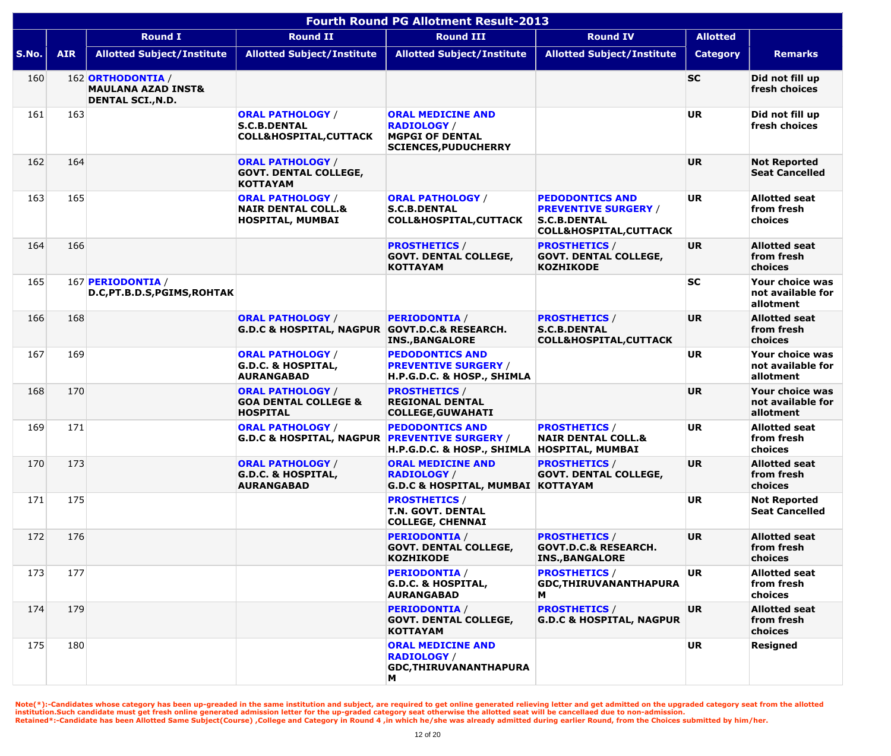|       | <b>Fourth Round PG Allotment Result-2013</b> |                                                                                |                                                                                     |                                                                                                         |                                                                                                                   |                 |                                                   |  |  |  |  |
|-------|----------------------------------------------|--------------------------------------------------------------------------------|-------------------------------------------------------------------------------------|---------------------------------------------------------------------------------------------------------|-------------------------------------------------------------------------------------------------------------------|-----------------|---------------------------------------------------|--|--|--|--|
|       |                                              | <b>Round I</b>                                                                 | <b>Round II</b>                                                                     | <b>Round III</b>                                                                                        | <b>Round IV</b>                                                                                                   | <b>Allotted</b> |                                                   |  |  |  |  |
| S.No. | <b>AIR</b>                                   | <b>Allotted Subject/Institute</b>                                              | <b>Allotted Subject/Institute</b>                                                   | <b>Allotted Subject/Institute</b>                                                                       | <b>Allotted Subject/Institute</b>                                                                                 | <b>Category</b> | <b>Remarks</b>                                    |  |  |  |  |
| 160   |                                              | 162 ORTHODONTIA /<br><b>MAULANA AZAD INST&amp;</b><br><b>DENTAL SCI., N.D.</b> |                                                                                     |                                                                                                         |                                                                                                                   | <b>SC</b>       | Did not fill up<br>fresh choices                  |  |  |  |  |
| 161   | 163                                          |                                                                                | <b>ORAL PATHOLOGY /</b><br><b>S.C.B.DENTAL</b><br><b>COLL&amp;HOSPITAL, CUTTACK</b> | <b>ORAL MEDICINE AND</b><br><b>RADIOLOGY /</b><br><b>MGPGI OF DENTAL</b><br><b>SCIENCES, PUDUCHERRY</b> |                                                                                                                   | <b>UR</b>       | Did not fill up<br>fresh choices                  |  |  |  |  |
| 162   | 164                                          |                                                                                | <b>ORAL PATHOLOGY /</b><br><b>GOVT. DENTAL COLLEGE,</b><br><b>KOTTAYAM</b>          |                                                                                                         |                                                                                                                   | <b>UR</b>       | <b>Not Reported</b><br><b>Seat Cancelled</b>      |  |  |  |  |
| 163   | 165                                          |                                                                                | <b>ORAL PATHOLOGY /</b><br><b>NAIR DENTAL COLL.&amp;</b><br><b>HOSPITAL, MUMBAI</b> | <b>ORAL PATHOLOGY /</b><br><b>S.C.B.DENTAL</b><br><b>COLL&amp;HOSPITAL, CUTTACK</b>                     | <b>PEDODONTICS AND</b><br><b>PREVENTIVE SURGERY /</b><br><b>S.C.B.DENTAL</b><br><b>COLL&amp;HOSPITAL, CUTTACK</b> | <b>UR</b>       | <b>Allotted seat</b><br>from fresh<br>choices     |  |  |  |  |
| 164   | 166                                          |                                                                                |                                                                                     | <b>PROSTHETICS /</b><br><b>GOVT. DENTAL COLLEGE,</b><br><b>KOTTAYAM</b>                                 | <b>PROSTHETICS /</b><br><b>GOVT. DENTAL COLLEGE,</b><br><b>KOZHIKODE</b>                                          | <b>UR</b>       | <b>Allotted seat</b><br>from fresh<br>choices     |  |  |  |  |
| 165   |                                              | 167 PERIODONTIA /<br>D.C, PT.B.D.S, PGIMS, ROHTAK                              |                                                                                     |                                                                                                         |                                                                                                                   | <b>SC</b>       | Your choice was<br>not available for<br>allotment |  |  |  |  |
| 166   | 168                                          |                                                                                | <b>ORAL PATHOLOGY /</b><br><b>G.D.C &amp; HOSPITAL, NAGPUR</b>                      | <b>PERIODONTIA /</b><br><b>GOVT.D.C.&amp; RESEARCH.</b><br><b>INS., BANGALORE</b>                       | <b>PROSTHETICS /</b><br><b>S.C.B.DENTAL</b><br><b>COLL&amp;HOSPITAL, CUTTACK</b>                                  | <b>UR</b>       | <b>Allotted seat</b><br>from fresh<br>choices     |  |  |  |  |
| 167   | 169                                          |                                                                                | <b>ORAL PATHOLOGY /</b><br><b>G.D.C. &amp; HOSPITAL,</b><br><b>AURANGABAD</b>       | <b>PEDODONTICS AND</b><br><b>PREVENTIVE SURGERY /</b><br>H.P.G.D.C. & HOSP., SHIMLA                     |                                                                                                                   | <b>UR</b>       | Your choice was<br>not available for<br>allotment |  |  |  |  |
| 168   | 170                                          |                                                                                | <b>ORAL PATHOLOGY /</b><br><b>GOA DENTAL COLLEGE &amp;</b><br><b>HOSPITAL</b>       | <b>PROSTHETICS /</b><br><b>REGIONAL DENTAL</b><br><b>COLLEGE, GUWAHATI</b>                              |                                                                                                                   | <b>UR</b>       | Your choice was<br>not available for<br>allotment |  |  |  |  |
| 169   | 171                                          |                                                                                | <b>ORAL PATHOLOGY /</b><br><b>G.D.C &amp; HOSPITAL, NAGPUR</b>                      | <b>PEDODONTICS AND</b><br><b>PREVENTIVE SURGERY /</b><br>H.P.G.D.C. & HOSP., SHIMLA   HOSPITAL, MUMBAI  | <b>PROSTHETICS /</b><br><b>NAIR DENTAL COLL.&amp;</b>                                                             | <b>UR</b>       | <b>Allotted seat</b><br>from fresh<br>choices     |  |  |  |  |
| 170   | 173                                          |                                                                                | <b>ORAL PATHOLOGY /</b><br><b>G.D.C. &amp; HOSPITAL,</b><br><b>AURANGABAD</b>       | <b>ORAL MEDICINE AND</b><br><b>RADIOLOGY</b> /<br><b>G.D.C &amp; HOSPITAL, MUMBAI KOTTAYAM</b>          | <b>PROSTHETICS /</b><br><b>GOVT. DENTAL COLLEGE,</b>                                                              | <b>UR</b>       | <b>Allotted seat</b><br>from fresh<br>choices     |  |  |  |  |
| 171   | 175                                          |                                                                                |                                                                                     | <b>PROSTHETICS /</b><br>T.N. GOVT. DENTAL<br><b>COLLEGE, CHENNAI</b>                                    |                                                                                                                   | <b>UR</b>       | <b>Not Reported</b><br><b>Seat Cancelled</b>      |  |  |  |  |
| 172   | 176                                          |                                                                                |                                                                                     | <b>PERIODONTIA /</b><br><b>GOVT. DENTAL COLLEGE,</b><br><b>KOZHIKODE</b>                                | <b>PROSTHETICS /</b><br><b>GOVT.D.C.&amp; RESEARCH.</b><br><b>INS., BANGALORE</b>                                 | <b>UR</b>       | <b>Allotted seat</b><br>from fresh<br>choices     |  |  |  |  |
| 173   | 177                                          |                                                                                |                                                                                     | <b>PERIODONTIA /</b><br><b>G.D.C. &amp; HOSPITAL,</b><br><b>AURANGABAD</b>                              | <b>PROSTHETICS /</b><br>GDC, THIRUVANANTHAPURA<br>Μ                                                               | <b>UR</b>       | <b>Allotted seat</b><br>from fresh<br>choices     |  |  |  |  |
| 174   | 179                                          |                                                                                |                                                                                     | <b>PERIODONTIA /</b><br><b>GOVT. DENTAL COLLEGE,</b><br><b>KOTTAYAM</b>                                 | <b>PROSTHETICS /</b><br><b>G.D.C &amp; HOSPITAL, NAGPUR</b>                                                       | <b>UR</b>       | <b>Allotted seat</b><br>from fresh<br>choices     |  |  |  |  |
| 175   | 180                                          |                                                                                |                                                                                     | <b>ORAL MEDICINE AND</b><br><b>RADIOLOGY /</b><br>GDC, THIRUVANANTHAPURA<br>M                           |                                                                                                                   | <b>UR</b>       | Resigned                                          |  |  |  |  |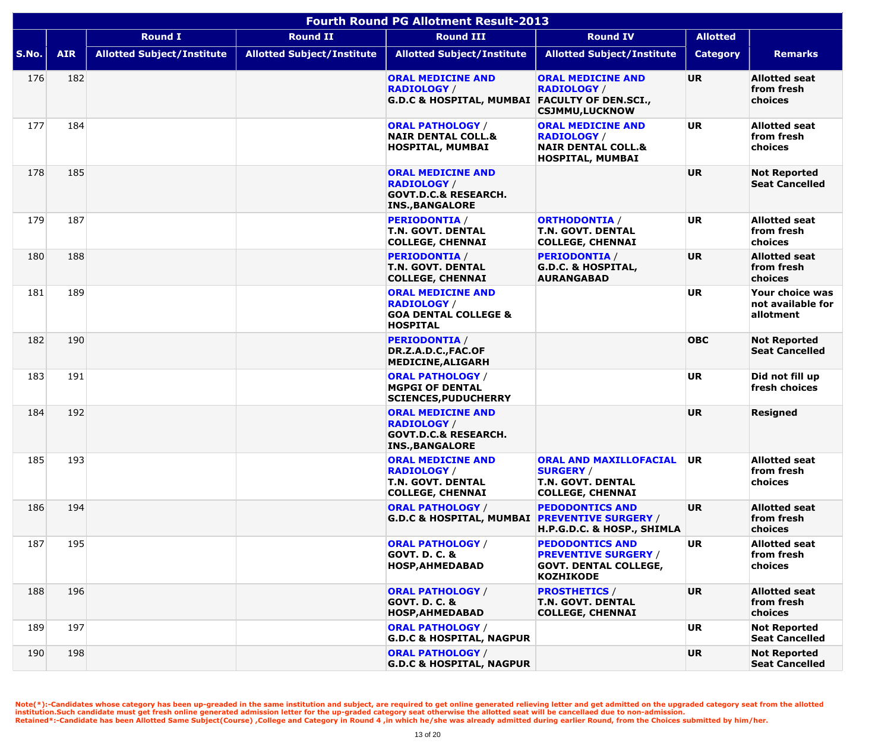|       | <b>Fourth Round PG Allotment Result-2013</b> |                                   |                                   |                                                                                                             |                                                                                                           |                 |                                                   |  |  |  |
|-------|----------------------------------------------|-----------------------------------|-----------------------------------|-------------------------------------------------------------------------------------------------------------|-----------------------------------------------------------------------------------------------------------|-----------------|---------------------------------------------------|--|--|--|
|       |                                              | <b>Round I</b>                    | <b>Round II</b>                   | <b>Round III</b>                                                                                            | <b>Round IV</b>                                                                                           | <b>Allotted</b> |                                                   |  |  |  |
| S.No. | <b>AIR</b>                                   | <b>Allotted Subject/Institute</b> | <b>Allotted Subject/Institute</b> | <b>Allotted Subject/Institute</b>                                                                           | <b>Allotted Subject/Institute</b>                                                                         | <b>Category</b> | <b>Remarks</b>                                    |  |  |  |
| 176   | 182                                          |                                   |                                   | <b>ORAL MEDICINE AND</b><br><b>RADIOLOGY /</b><br>G.D.C & HOSPITAL, MUMBAI FACULTY OF DEN.SCI.,             | <b>ORAL MEDICINE AND</b><br><b>RADIOLOGY</b> /<br><b>CSJMMU,LUCKNOW</b>                                   | <b>UR</b>       | <b>Allotted seat</b><br>from fresh<br>choices     |  |  |  |
| 177   | 184                                          |                                   |                                   | <b>ORAL PATHOLOGY /</b><br><b>NAIR DENTAL COLL.&amp;</b><br>HOSPITAL, MUMBAI                                | <b>ORAL MEDICINE AND</b><br><b>RADIOLOGY /</b><br><b>NAIR DENTAL COLL.&amp;</b><br>HOSPITAL, MUMBAI       | <b>UR</b>       | <b>Allotted seat</b><br>from fresh<br>choices     |  |  |  |
| 178   | 185                                          |                                   |                                   | <b>ORAL MEDICINE AND</b><br><b>RADIOLOGY /</b><br><b>GOVT.D.C.&amp; RESEARCH.</b><br><b>INS., BANGALORE</b> |                                                                                                           | UR.             | <b>Not Reported</b><br><b>Seat Cancelled</b>      |  |  |  |
| 179   | 187                                          |                                   |                                   | <b>PERIODONTIA /</b><br><b>T.N. GOVT. DENTAL</b><br><b>COLLEGE, CHENNAI</b>                                 | <b>ORTHODONTIA /</b><br><b>T.N. GOVT. DENTAL</b><br><b>COLLEGE, CHENNAI</b>                               | <b>UR</b>       | <b>Allotted seat</b><br>from fresh<br>choices     |  |  |  |
| 180   | 188                                          |                                   |                                   | <b>PERIODONTIA /</b><br><b>T.N. GOVT. DENTAL</b><br><b>COLLEGE, CHENNAI</b>                                 | <b>PERIODONTIA /</b><br><b>G.D.C. &amp; HOSPITAL,</b><br><b>AURANGABAD</b>                                | <b>UR</b>       | <b>Allotted seat</b><br>from fresh<br>choices     |  |  |  |
| 181   | 189                                          |                                   |                                   | <b>ORAL MEDICINE AND</b><br><b>RADIOLOGY /</b><br><b>GOA DENTAL COLLEGE &amp;</b><br><b>HOSPITAL</b>        |                                                                                                           | <b>UR</b>       | Your choice was<br>not available for<br>allotment |  |  |  |
| 182   | 190                                          |                                   |                                   | <b>PERIODONTIA /</b><br>DR.Z.A.D.C., FAC.OF<br><b>MEDICINE, ALIGARH</b>                                     |                                                                                                           | <b>OBC</b>      | <b>Not Reported</b><br><b>Seat Cancelled</b>      |  |  |  |
| 183   | 191                                          |                                   |                                   | <b>ORAL PATHOLOGY /</b><br><b>MGPGI OF DENTAL</b><br><b>SCIENCES, PUDUCHERRY</b>                            |                                                                                                           | <b>UR</b>       | Did not fill up<br>fresh choices                  |  |  |  |
| 184   | 192                                          |                                   |                                   | <b>ORAL MEDICINE AND</b><br><b>RADIOLOGY /</b><br><b>GOVT.D.C.&amp; RESEARCH.</b><br><b>INS., BANGALORE</b> |                                                                                                           | <b>UR</b>       | <b>Resigned</b>                                   |  |  |  |
| 185   | 193                                          |                                   |                                   | <b>ORAL MEDICINE AND</b><br><b>RADIOLOGY /</b><br><b>T.N. GOVT. DENTAL</b><br><b>COLLEGE, CHENNAI</b>       | <b>ORAL AND MAXILLOFACIAL</b><br><b>SURGERY /</b><br><b>T.N. GOVT. DENTAL</b><br><b>COLLEGE, CHENNAI</b>  | UR.             | <b>Allotted seat</b><br>from fresh<br>choices     |  |  |  |
| 186   | 194                                          |                                   |                                   | <b>ORAL PATHOLOGY /</b><br>G.D.C & HOSPITAL, MUMBAI PREVENTIVE SURGERY /                                    | <b>PEDODONTICS AND</b><br>H.P.G.D.C. & HOSP., SHIMLA                                                      | <b>UR</b>       | <b>Allotted seat</b><br>from fresh<br>choices     |  |  |  |
| 187   | 195                                          |                                   |                                   | <b>ORAL PATHOLOGY /</b><br><b>GOVT. D. C. &amp;</b><br><b>HOSP, AHMEDABAD</b>                               | <b>PEDODONTICS AND</b><br><b>PREVENTIVE SURGERY /</b><br><b>GOVT. DENTAL COLLEGE,</b><br><b>KOZHIKODE</b> | <b>UR</b>       | <b>Allotted seat</b><br>from fresh<br>choices     |  |  |  |
| 188   | 196                                          |                                   |                                   | <b>ORAL PATHOLOGY /</b><br><b>GOVT. D. C. &amp;</b><br><b>HOSP, AHMEDABAD</b>                               | <b>PROSTHETICS /</b><br><b>T.N. GOVT. DENTAL</b><br><b>COLLEGE, CHENNAI</b>                               | UR              | <b>Allotted seat</b><br>from fresh<br>choices     |  |  |  |
| 189   | 197                                          |                                   |                                   | <b>ORAL PATHOLOGY /</b><br><b>G.D.C &amp; HOSPITAL, NAGPUR</b>                                              |                                                                                                           | <b>UR</b>       | <b>Not Reported</b><br><b>Seat Cancelled</b>      |  |  |  |
| 190   | 198                                          |                                   |                                   | <b>ORAL PATHOLOGY /</b><br><b>G.D.C &amp; HOSPITAL, NAGPUR</b>                                              |                                                                                                           | UR              | <b>Not Reported</b><br><b>Seat Cancelled</b>      |  |  |  |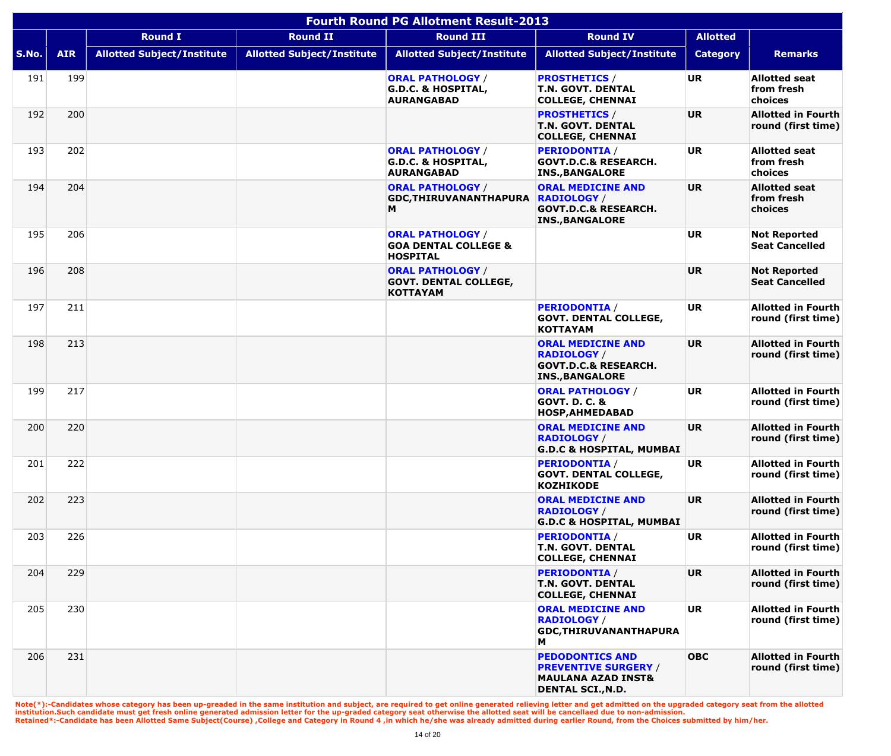|       | <b>Fourth Round PG Allotment Result-2013</b> |                                   |                                   |                                                                               |                                                                                                                    |                 |                                                 |  |  |
|-------|----------------------------------------------|-----------------------------------|-----------------------------------|-------------------------------------------------------------------------------|--------------------------------------------------------------------------------------------------------------------|-----------------|-------------------------------------------------|--|--|
|       |                                              | <b>Round I</b>                    | <b>Round II</b>                   | <b>Round III</b>                                                              | <b>Round IV</b>                                                                                                    | <b>Allotted</b> |                                                 |  |  |
| S.No. | <b>AIR</b>                                   | <b>Allotted Subject/Institute</b> | <b>Allotted Subject/Institute</b> | <b>Allotted Subject/Institute</b>                                             | <b>Allotted Subject/Institute</b>                                                                                  | <b>Category</b> | <b>Remarks</b>                                  |  |  |
| 191   | 199                                          |                                   |                                   | <b>ORAL PATHOLOGY /</b><br><b>G.D.C. &amp; HOSPITAL,</b><br><b>AURANGABAD</b> | <b>PROSTHETICS /</b><br><b>T.N. GOVT. DENTAL</b><br><b>COLLEGE, CHENNAI</b>                                        | <b>UR</b>       | <b>Allotted seat</b><br>from fresh<br>choices   |  |  |
| 192   | 200                                          |                                   |                                   |                                                                               | <b>PROSTHETICS /</b><br><b>T.N. GOVT. DENTAL</b><br><b>COLLEGE, CHENNAI</b>                                        | <b>UR</b>       | <b>Allotted in Fourth</b><br>round (first time) |  |  |
| 193   | 202                                          |                                   |                                   | <b>ORAL PATHOLOGY /</b><br><b>G.D.C. &amp; HOSPITAL,</b><br><b>AURANGABAD</b> | <b>PERIODONTIA /</b><br><b>GOVT.D.C.&amp; RESEARCH.</b><br><b>INS., BANGALORE</b>                                  | UR.             | <b>Allotted seat</b><br>from fresh<br>choices   |  |  |
| 194   | 204                                          |                                   |                                   | <b>ORAL PATHOLOGY /</b><br><b>GDC, THIRUVANANTHAPURA</b><br>M                 | <b>ORAL MEDICINE AND</b><br><b>RADIOLOGY</b> /<br><b>GOVT.D.C.&amp; RESEARCH.</b><br><b>INS., BANGALORE</b>        | <b>UR</b>       | <b>Allotted seat</b><br>from fresh<br>choices   |  |  |
| 195   | 206                                          |                                   |                                   | <b>ORAL PATHOLOGY /</b><br><b>GOA DENTAL COLLEGE &amp;</b><br><b>HOSPITAL</b> |                                                                                                                    | <b>UR</b>       | <b>Not Reported</b><br><b>Seat Cancelled</b>    |  |  |
| 196   | 208                                          |                                   |                                   | <b>ORAL PATHOLOGY /</b><br><b>GOVT. DENTAL COLLEGE,</b><br><b>KOTTAYAM</b>    |                                                                                                                    | <b>UR</b>       | <b>Not Reported</b><br><b>Seat Cancelled</b>    |  |  |
| 197   | 211                                          |                                   |                                   |                                                                               | <b>PERIODONTIA</b> /<br><b>GOVT. DENTAL COLLEGE,</b><br><b>KOTTAYAM</b>                                            | <b>UR</b>       | <b>Allotted in Fourth</b><br>round (first time) |  |  |
| 198   | 213                                          |                                   |                                   |                                                                               | <b>ORAL MEDICINE AND</b><br><b>RADIOLOGY</b> /<br><b>GOVT.D.C.&amp; RESEARCH.</b><br><b>INS., BANGALORE</b>        | UR.             | <b>Allotted in Fourth</b><br>round (first time) |  |  |
| 199   | 217                                          |                                   |                                   |                                                                               | <b>ORAL PATHOLOGY /</b><br><b>GOVT. D. C. &amp;</b><br><b>HOSP, AHMEDABAD</b>                                      | <b>UR</b>       | <b>Allotted in Fourth</b><br>round (first time) |  |  |
| 200   | 220                                          |                                   |                                   |                                                                               | <b>ORAL MEDICINE AND</b><br><b>RADIOLOGY</b> /<br><b>G.D.C &amp; HOSPITAL, MUMBAI</b>                              | <b>UR</b>       | <b>Allotted in Fourth</b><br>round (first time) |  |  |
| 201   | 222                                          |                                   |                                   |                                                                               | <b>PERIODONTIA /</b><br><b>GOVT. DENTAL COLLEGE,</b><br><b>KOZHIKODE</b>                                           | UR              | <b>Allotted in Fourth</b><br>round (first time) |  |  |
| 202   | 223                                          |                                   |                                   |                                                                               | <b>ORAL MEDICINE AND</b><br><b>RADIOLOGY /</b><br><b>G.D.C &amp; HOSPITAL, MUMBAI</b>                              | <b>UR</b>       | <b>Allotted in Fourth</b><br>round (first time) |  |  |
| 203   | 226                                          |                                   |                                   |                                                                               | <b>PERIODONTIA /</b><br><b>T.N. GOVT. DENTAL</b><br><b>COLLEGE, CHENNAI</b>                                        | UR              | <b>Allotted in Fourth</b><br>round (first time) |  |  |
| 204   | 229                                          |                                   |                                   |                                                                               | <b>PERIODONTIA /</b><br><b>T.N. GOVT. DENTAL</b><br><b>COLLEGE, CHENNAI</b>                                        | <b>UR</b>       | <b>Allotted in Fourth</b><br>round (first time) |  |  |
| 205   | 230                                          |                                   |                                   |                                                                               | <b>ORAL MEDICINE AND</b><br><b>RADIOLOGY /</b><br><b>GDC, THIRUVANANTHAPURA</b><br>M                               | UR.             | <b>Allotted in Fourth</b><br>round (first time) |  |  |
| 206   | 231                                          |                                   |                                   |                                                                               | <b>PEDODONTICS AND</b><br><b>PREVENTIVE SURGERY /</b><br><b>MAULANA AZAD INST&amp;</b><br><b>DENTAL SCI., N.D.</b> | <b>OBC</b>      | <b>Allotted in Fourth</b><br>round (first time) |  |  |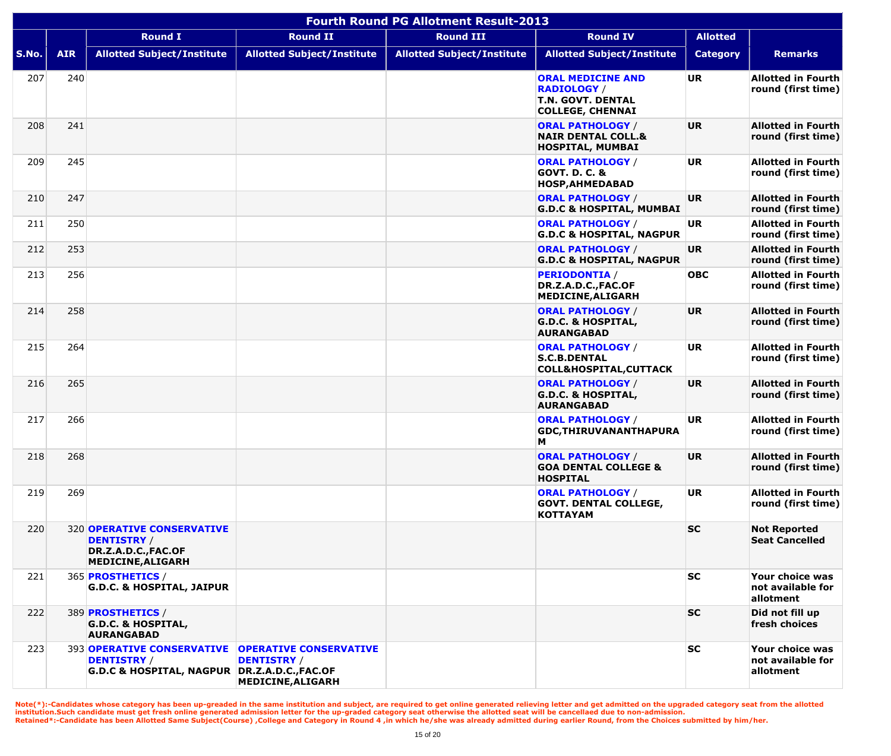|       | <b>Fourth Round PG Allotment Result-2013</b> |                                                                                                         |                                                                          |                                   |                                                                                                |                 |                                                   |  |  |  |
|-------|----------------------------------------------|---------------------------------------------------------------------------------------------------------|--------------------------------------------------------------------------|-----------------------------------|------------------------------------------------------------------------------------------------|-----------------|---------------------------------------------------|--|--|--|
|       |                                              | <b>Round I</b>                                                                                          | <b>Round II</b>                                                          | <b>Round III</b>                  | <b>Round IV</b>                                                                                | <b>Allotted</b> |                                                   |  |  |  |
| S.No. | <b>AIR</b>                                   | <b>Allotted Subject/Institute</b>                                                                       | <b>Allotted Subject/Institute</b>                                        | <b>Allotted Subject/Institute</b> | <b>Allotted Subject/Institute</b>                                                              | <b>Category</b> | <b>Remarks</b>                                    |  |  |  |
| 207   | 240                                          |                                                                                                         |                                                                          |                                   | <b>ORAL MEDICINE AND</b><br><b>RADIOLOGY /</b><br>T.N. GOVT. DENTAL<br><b>COLLEGE, CHENNAI</b> | <b>UR</b>       | <b>Allotted in Fourth</b><br>round (first time)   |  |  |  |
| 208   | 241                                          |                                                                                                         |                                                                          |                                   | <b>ORAL PATHOLOGY /</b><br><b>NAIR DENTAL COLL.&amp;</b><br>HOSPITAL, MUMBAI                   | <b>UR</b>       | <b>Allotted in Fourth</b><br>round (first time)   |  |  |  |
| 209   | 245                                          |                                                                                                         |                                                                          |                                   | <b>ORAL PATHOLOGY /</b><br><b>GOVT. D. C. &amp;</b><br>HOSP, AHMEDABAD                         | <b>UR</b>       | <b>Allotted in Fourth</b><br>round (first time)   |  |  |  |
| 210   | 247                                          |                                                                                                         |                                                                          |                                   | <b>ORAL PATHOLOGY /</b><br><b>G.D.C &amp; HOSPITAL, MUMBAI</b>                                 | <b>UR</b>       | <b>Allotted in Fourth</b><br>round (first time)   |  |  |  |
| 211   | 250                                          |                                                                                                         |                                                                          |                                   | <b>ORAL PATHOLOGY /</b><br><b>G.D.C &amp; HOSPITAL, NAGPUR</b>                                 | <b>UR</b>       | <b>Allotted in Fourth</b><br>round (first time)   |  |  |  |
| 212   | 253                                          |                                                                                                         |                                                                          |                                   | <b>ORAL PATHOLOGY /</b><br><b>G.D.C &amp; HOSPITAL, NAGPUR</b>                                 | <b>UR</b>       | <b>Allotted in Fourth</b><br>round (first time)   |  |  |  |
| 213   | 256                                          |                                                                                                         |                                                                          |                                   | <b>PERIODONTIA /</b><br>DR.Z.A.D.C., FAC.OF<br>MEDICINE, ALIGARH                               | <b>OBC</b>      | <b>Allotted in Fourth</b><br>round (first time)   |  |  |  |
| 214   | 258                                          |                                                                                                         |                                                                          |                                   | <b>ORAL PATHOLOGY /</b><br><b>G.D.C. &amp; HOSPITAL,</b><br><b>AURANGABAD</b>                  | <b>UR</b>       | <b>Allotted in Fourth</b><br>round (first time)   |  |  |  |
| 215   | 264                                          |                                                                                                         |                                                                          |                                   | <b>ORAL PATHOLOGY /</b><br><b>S.C.B.DENTAL</b><br><b>COLL&amp;HOSPITAL, CUTTACK</b>            | <b>UR</b>       | <b>Allotted in Fourth</b><br>round (first time)   |  |  |  |
| 216   | 265                                          |                                                                                                         |                                                                          |                                   | <b>ORAL PATHOLOGY /</b><br><b>G.D.C. &amp; HOSPITAL,</b><br><b>AURANGABAD</b>                  | <b>UR</b>       | <b>Allotted in Fourth</b><br>round (first time)   |  |  |  |
| 217   | 266                                          |                                                                                                         |                                                                          |                                   | <b>ORAL PATHOLOGY /</b><br>GDC, THIRUVANANTHAPURA<br>М                                         | <b>UR</b>       | <b>Allotted in Fourth</b><br>round (first time)   |  |  |  |
| 218   | 268                                          |                                                                                                         |                                                                          |                                   | <b>ORAL PATHOLOGY /</b><br><b>GOA DENTAL COLLEGE &amp;</b><br><b>HOSPITAL</b>                  | <b>UR</b>       | <b>Allotted in Fourth</b><br>round (first time)   |  |  |  |
| 219   | 269                                          |                                                                                                         |                                                                          |                                   | <b>ORAL PATHOLOGY /</b><br><b>GOVT. DENTAL COLLEGE,</b><br><b>KOTTAYAM</b>                     | <b>UR</b>       | <b>Allotted in Fourth</b><br>round (first time)   |  |  |  |
| 220   |                                              | <b>320 OPERATIVE CONSERVATIVE</b><br><b>DENTISTRY /</b><br>DR.Z.A.D.C., FAC.OF<br>MEDICINE, ALIGARH     |                                                                          |                                   |                                                                                                | <b>SC</b>       | <b>Not Reported</b><br><b>Seat Cancelled</b>      |  |  |  |
| 221   |                                              | 365 <b>PROSTHETICS</b> /<br><b>G.D.C. &amp; HOSPITAL, JAIPUR</b>                                        |                                                                          |                                   |                                                                                                | <b>SC</b>       | Your choice was<br>not available for<br>allotment |  |  |  |
| 222   |                                              | 389 <b>PROSTHETICS</b> /<br><b>G.D.C. &amp; HOSPITAL,</b><br><b>AURANGABAD</b>                          |                                                                          |                                   |                                                                                                | <b>SC</b>       | Did not fill up<br>fresh choices                  |  |  |  |
| 223   |                                              | <b>393 OPERATIVE CONSERVATIVE</b><br><b>DENTISTRY /</b><br>G.D.C & HOSPITAL, NAGPUR DR.Z.A.D.C., FAC.OF | <b>OPERATIVE CONSERVATIVE</b><br><b>DENTISTRY /</b><br>MEDICINE, ALIGARH |                                   |                                                                                                | <b>SC</b>       | Your choice was<br>not available for<br>allotment |  |  |  |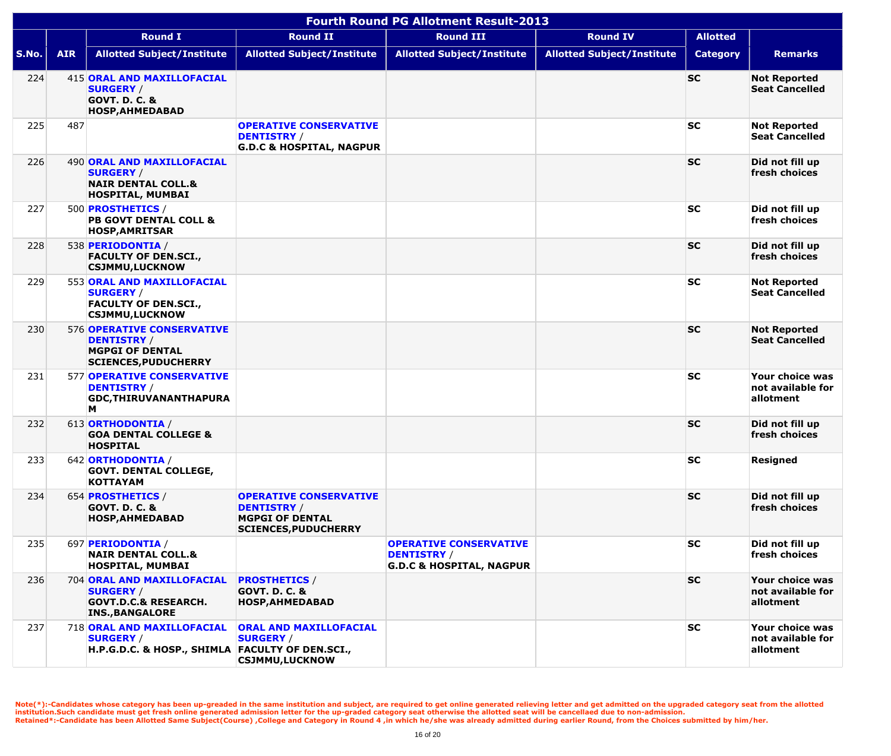|       | <b>Fourth Round PG Allotment Result-2013</b> |                                                                                                             |                                                                                                              |                                                                                            |                                   |                 |                                                   |  |  |  |
|-------|----------------------------------------------|-------------------------------------------------------------------------------------------------------------|--------------------------------------------------------------------------------------------------------------|--------------------------------------------------------------------------------------------|-----------------------------------|-----------------|---------------------------------------------------|--|--|--|
|       |                                              | <b>Round I</b>                                                                                              | <b>Round II</b>                                                                                              | <b>Round III</b>                                                                           | <b>Round IV</b>                   | <b>Allotted</b> |                                                   |  |  |  |
| S.No. | <b>AIR</b>                                   | <b>Allotted Subject/Institute</b>                                                                           | <b>Allotted Subject/Institute</b>                                                                            | <b>Allotted Subject/Institute</b>                                                          | <b>Allotted Subject/Institute</b> | <b>Category</b> | <b>Remarks</b>                                    |  |  |  |
| 224   |                                              | 415 ORAL AND MAXILLOFACIAL<br><b>SURGERY /</b><br><b>GOVT. D. C. &amp;</b><br><b>HOSP, AHMEDABAD</b>        |                                                                                                              |                                                                                            |                                   | <b>SC</b>       | <b>Not Reported</b><br><b>Seat Cancelled</b>      |  |  |  |
| 225   | 487                                          |                                                                                                             | <b>OPERATIVE CONSERVATIVE</b><br><b>DENTISTRY /</b><br><b>G.D.C &amp; HOSPITAL, NAGPUR</b>                   |                                                                                            |                                   | <b>SC</b>       | <b>Not Reported</b><br><b>Seat Cancelled</b>      |  |  |  |
| 226   |                                              | 490 ORAL AND MAXILLOFACIAL<br><b>SURGERY /</b><br><b>NAIR DENTAL COLL.&amp;</b><br><b>HOSPITAL, MUMBAI</b>  |                                                                                                              |                                                                                            |                                   | <b>SC</b>       | Did not fill up<br>fresh choices                  |  |  |  |
| 227   |                                              | 500 PROSTHETICS /<br><b>PB GOVT DENTAL COLL &amp;</b><br><b>HOSP, AMRITSAR</b>                              |                                                                                                              |                                                                                            |                                   | <b>SC</b>       | Did not fill up<br>fresh choices                  |  |  |  |
| 228   |                                              | 538 PERIODONTIA /<br><b>FACULTY OF DEN.SCI.,</b><br><b>CSJMMU,LUCKNOW</b>                                   |                                                                                                              |                                                                                            |                                   | <b>SC</b>       | Did not fill up<br>fresh choices                  |  |  |  |
| 229   |                                              | 553 ORAL AND MAXILLOFACIAL<br><b>SURGERY /</b><br><b>FACULTY OF DEN.SCI.,</b><br><b>CSJMMU,LUCKNOW</b>      |                                                                                                              |                                                                                            |                                   | <b>SC</b>       | <b>Not Reported</b><br><b>Seat Cancelled</b>      |  |  |  |
| 230   |                                              | 576 OPERATIVE CONSERVATIVE<br><b>DENTISTRY /</b><br><b>MGPGI OF DENTAL</b><br><b>SCIENCES, PUDUCHERRY</b>   |                                                                                                              |                                                                                            |                                   | <b>SC</b>       | <b>Not Reported</b><br><b>Seat Cancelled</b>      |  |  |  |
| 231   |                                              | <b>577 OPERATIVE CONSERVATIVE</b><br><b>DENTISTRY /</b><br>GDC, THIRUVANANTHAPURA<br>M                      |                                                                                                              |                                                                                            |                                   | <b>SC</b>       | Your choice was<br>not available for<br>allotment |  |  |  |
| 232   |                                              | 613 ORTHODONTIA /<br><b>GOA DENTAL COLLEGE &amp;</b><br><b>HOSPITAL</b>                                     |                                                                                                              |                                                                                            |                                   | <b>SC</b>       | Did not fill up<br>fresh choices                  |  |  |  |
| 233   |                                              | 642 ORTHODONTIA /<br><b>GOVT. DENTAL COLLEGE,</b><br><b>KOTTAYAM</b>                                        |                                                                                                              |                                                                                            |                                   | <b>SC</b>       | <b>Resigned</b>                                   |  |  |  |
| 234   |                                              | 654 <b>PROSTHETICS</b> /<br><b>GOVT. D. C. &amp;</b><br><b>HOSP, AHMEDABAD</b>                              | <b>OPERATIVE CONSERVATIVE</b><br><b>DENTISTRY</b> /<br><b>MGPGI OF DENTAL</b><br><b>SCIENCES, PUDUCHERRY</b> |                                                                                            |                                   | <b>SC</b>       | Did not fill up<br>fresh choices                  |  |  |  |
| 235   |                                              | 697 PERIODONTIA /<br><b>NAIR DENTAL COLL.&amp;</b><br>HOSPITAL, MUMBAI                                      |                                                                                                              | <b>OPERATIVE CONSERVATIVE</b><br><b>DENTISTRY /</b><br><b>G.D.C &amp; HOSPITAL, NAGPUR</b> |                                   | <b>SC</b>       | Did not fill up<br>fresh choices                  |  |  |  |
| 236   |                                              | 704 ORAL AND MAXILLOFACIAL<br><b>SURGERY /</b><br><b>GOVT.D.C.&amp; RESEARCH.</b><br><b>INS., BANGALORE</b> | <b>PROSTHETICS /</b><br><b>GOVT. D. C. &amp;</b><br><b>HOSP, AHMEDABAD</b>                                   |                                                                                            |                                   | <b>SC</b>       | Your choice was<br>not available for<br>allotment |  |  |  |
| 237   |                                              | 718 ORAL AND MAXILLOFACIAL<br><b>SURGERY /</b><br>H.P.G.D.C. & HOSP., SHIMLA FACULTY OF DEN.SCI.,           | ORAL AND MAXILLOFACIAL<br><b>SURGERY /</b><br><b>CSJMMU,LUCKNOW</b>                                          |                                                                                            |                                   | <b>SC</b>       | Your choice was<br>not available for<br>allotment |  |  |  |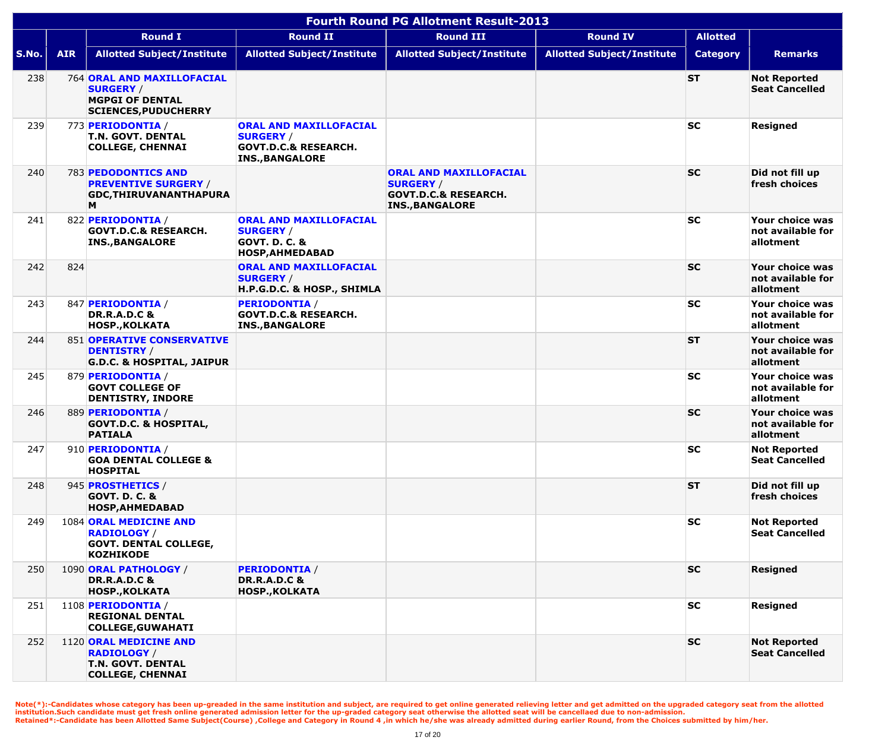|       | <b>Fourth Round PG Allotment Result-2013</b> |                                                                                                                |                                                                                                                |                                                                                                         |                                   |                 |                                                   |  |  |  |
|-------|----------------------------------------------|----------------------------------------------------------------------------------------------------------------|----------------------------------------------------------------------------------------------------------------|---------------------------------------------------------------------------------------------------------|-----------------------------------|-----------------|---------------------------------------------------|--|--|--|
|       |                                              | <b>Round I</b>                                                                                                 | <b>Round II</b>                                                                                                | <b>Round III</b>                                                                                        | <b>Round IV</b>                   | <b>Allotted</b> |                                                   |  |  |  |
| S.No. | <b>AIR</b>                                   | <b>Allotted Subject/Institute</b>                                                                              | <b>Allotted Subject/Institute</b>                                                                              | <b>Allotted Subject/Institute</b>                                                                       | <b>Allotted Subject/Institute</b> | <b>Category</b> | <b>Remarks</b>                                    |  |  |  |
| 238   |                                              | <b>764 ORAL AND MAXILLOFACIAL</b><br><b>SURGERY /</b><br><b>MGPGI OF DENTAL</b><br><b>SCIENCES, PUDUCHERRY</b> |                                                                                                                |                                                                                                         |                                   | <b>ST</b>       | <b>Not Reported</b><br><b>Seat Cancelled</b>      |  |  |  |
| 239   |                                              | 773 PERIODONTIA /<br><b>T.N. GOVT. DENTAL</b><br><b>COLLEGE, CHENNAI</b>                                       | <b>ORAL AND MAXILLOFACIAL</b><br><b>SURGERY /</b><br><b>GOVT.D.C.&amp; RESEARCH.</b><br><b>INS., BANGALORE</b> |                                                                                                         |                                   | <b>SC</b>       | <b>Resigned</b>                                   |  |  |  |
| 240   |                                              | <b>783 PEDODONTICS AND</b><br><b>PREVENTIVE SURGERY /</b><br><b>GDC, THIRUVANANTHAPURA</b><br>M                |                                                                                                                | ORAL AND MAXILLOFACIAL<br><b>SURGERY /</b><br><b>GOVT.D.C.&amp; RESEARCH.</b><br><b>INS., BANGALORE</b> |                                   | <b>SC</b>       | Did not fill up<br>fresh choices                  |  |  |  |
| 241   |                                              | 822 PERIODONTIA /<br><b>GOVT.D.C.&amp; RESEARCH.</b><br><b>INS., BANGALORE</b>                                 | <b>ORAL AND MAXILLOFACIAL</b><br><b>SURGERY /</b><br><b>GOVT. D. C. &amp;</b><br><b>HOSP, AHMEDABAD</b>        |                                                                                                         |                                   | <b>SC</b>       | Your choice was<br>not available for<br>allotment |  |  |  |
| 242   | 824                                          |                                                                                                                | <b>ORAL AND MAXILLOFACIAL</b><br><b>SURGERY /</b><br>H.P.G.D.C. & HOSP., SHIMLA                                |                                                                                                         |                                   | <b>SC</b>       | Your choice was<br>not available for<br>allotment |  |  |  |
| 243   |                                              | 847 PERIODONTIA /<br><b>DR.R.A.D.C &amp;</b><br><b>HOSP., KOLKATA</b>                                          | <b>PERIODONTIA /</b><br><b>GOVT.D.C.&amp; RESEARCH.</b><br><b>INS., BANGALORE</b>                              |                                                                                                         |                                   | <b>SC</b>       | Your choice was<br>not available for<br>allotment |  |  |  |
| 244   |                                              | <b>851 OPERATIVE CONSERVATIVE</b><br><b>DENTISTRY /</b><br><b>G.D.C. &amp; HOSPITAL, JAIPUR</b>                |                                                                                                                |                                                                                                         |                                   | <b>ST</b>       | Your choice was<br>not available for<br>allotment |  |  |  |
| 245   |                                              | 879 PERIODONTIA /<br><b>GOVT COLLEGE OF</b><br><b>DENTISTRY, INDORE</b>                                        |                                                                                                                |                                                                                                         |                                   | <b>SC</b>       | Your choice was<br>not available for<br>allotment |  |  |  |
| 246   |                                              | 889 PERIODONTIA /<br><b>GOVT.D.C. &amp; HOSPITAL,</b><br><b>PATIALA</b>                                        |                                                                                                                |                                                                                                         |                                   | <b>SC</b>       | Your choice was<br>not available for<br>allotment |  |  |  |
| 247   |                                              | 910 PERIODONTIA /<br><b>GOA DENTAL COLLEGE &amp;</b><br><b>HOSPITAL</b>                                        |                                                                                                                |                                                                                                         |                                   | <b>SC</b>       | <b>Not Reported</b><br><b>Seat Cancelled</b>      |  |  |  |
| 248   |                                              | 945 <b>PROSTHETICS</b> /<br><b>GOVT. D. C. &amp;</b><br><b>HOSP, AHMEDABAD</b>                                 |                                                                                                                |                                                                                                         |                                   | <b>ST</b>       | Did not fill up<br>fresh choices                  |  |  |  |
| 249   |                                              | 1084 ORAL MEDICINE AND<br><b>RADIOLOGY /</b><br><b>GOVT. DENTAL COLLEGE,</b><br><b>KOZHIKODE</b>               |                                                                                                                |                                                                                                         |                                   | <b>SC</b>       | <b>Not Reported</b><br><b>Seat Cancelled</b>      |  |  |  |
| 250   |                                              | 1090 ORAL PATHOLOGY /<br><b>DR.R.A.D.C &amp;</b><br><b>HOSP., KOLKATA</b>                                      | <b>PERIODONTIA /</b><br><b>DR.R.A.D.C &amp;</b><br><b>HOSP., KOLKATA</b>                                       |                                                                                                         |                                   | <b>SC</b>       | <b>Resigned</b>                                   |  |  |  |
| 251   |                                              | 1108 PERIODONTIA /<br><b>REGIONAL DENTAL</b><br><b>COLLEGE, GUWAHATI</b>                                       |                                                                                                                |                                                                                                         |                                   | <b>SC</b>       | <b>Resigned</b>                                   |  |  |  |
| 252   |                                              | 1120 ORAL MEDICINE AND<br><b>RADIOLOGY /</b><br><b>T.N. GOVT. DENTAL</b><br><b>COLLEGE, CHENNAI</b>            |                                                                                                                |                                                                                                         |                                   | <b>SC</b>       | <b>Not Reported</b><br><b>Seat Cancelled</b>      |  |  |  |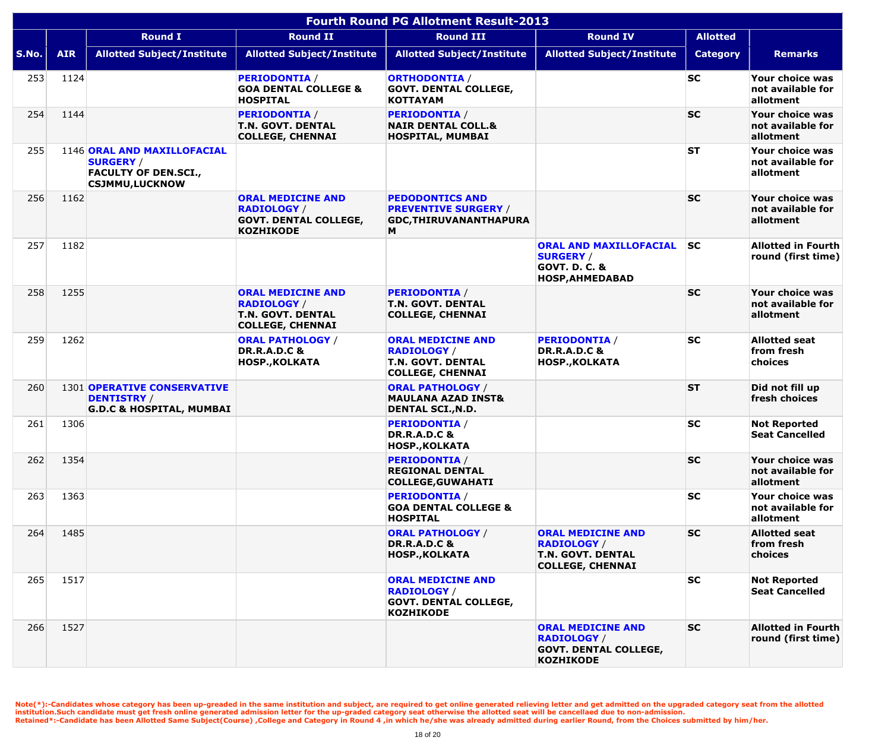|       | <b>Fourth Round PG Allotment Result-2013</b> |                                                                                                         |                                                                                                       |                                                                                                    |                                                                                                         |                 |                                                   |  |  |
|-------|----------------------------------------------|---------------------------------------------------------------------------------------------------------|-------------------------------------------------------------------------------------------------------|----------------------------------------------------------------------------------------------------|---------------------------------------------------------------------------------------------------------|-----------------|---------------------------------------------------|--|--|
|       |                                              | <b>Round I</b>                                                                                          | <b>Round II</b>                                                                                       | <b>Round III</b>                                                                                   | <b>Round IV</b>                                                                                         | <b>Allotted</b> |                                                   |  |  |
| S.No. | <b>AIR</b>                                   | <b>Allotted Subject/Institute</b>                                                                       | <b>Allotted Subject/Institute</b>                                                                     | <b>Allotted Subject/Institute</b>                                                                  | <b>Allotted Subject/Institute</b>                                                                       | <b>Category</b> | <b>Remarks</b>                                    |  |  |
| 253   | 1124                                         |                                                                                                         | <b>PERIODONTIA</b> /<br><b>GOA DENTAL COLLEGE &amp;</b><br><b>HOSPITAL</b>                            | <b>ORTHODONTIA /</b><br><b>GOVT. DENTAL COLLEGE,</b><br><b>KOTTAYAM</b>                            |                                                                                                         | <b>SC</b>       | Your choice was<br>not available for<br>allotment |  |  |
| 254   | 1144                                         |                                                                                                         | <b>PERIODONTIA /</b><br><b>T.N. GOVT. DENTAL</b><br><b>COLLEGE, CHENNAI</b>                           | <b>PERIODONTIA /</b><br><b>NAIR DENTAL COLL.&amp;</b><br>HOSPITAL, MUMBAI                          |                                                                                                         | <b>SC</b>       | Your choice was<br>not available for<br>allotment |  |  |
| 255   |                                              | 1146 ORAL AND MAXILLOFACIAL<br><b>SURGERY /</b><br><b>FACULTY OF DEN.SCI.,</b><br><b>CSJMMU,LUCKNOW</b> |                                                                                                       |                                                                                                    |                                                                                                         | <b>ST</b>       | Your choice was<br>not available for<br>allotment |  |  |
| 256   | 1162                                         |                                                                                                         | <b>ORAL MEDICINE AND</b><br><b>RADIOLOGY /</b><br><b>GOVT. DENTAL COLLEGE,</b><br><b>KOZHIKODE</b>    | <b>PEDODONTICS AND</b><br><b>PREVENTIVE SURGERY /</b><br>GDC, THIRUVANANTHAPURA<br>M               |                                                                                                         | <b>SC</b>       | Your choice was<br>not available for<br>allotment |  |  |
| 257   | 1182                                         |                                                                                                         |                                                                                                       |                                                                                                    | <b>ORAL AND MAXILLOFACIAL</b><br><b>SURGERY /</b><br><b>GOVT. D. C. &amp;</b><br><b>HOSP, AHMEDABAD</b> | <b>SC</b>       | <b>Allotted in Fourth</b><br>round (first time)   |  |  |
| 258   | 1255                                         |                                                                                                         | <b>ORAL MEDICINE AND</b><br><b>RADIOLOGY /</b><br><b>T.N. GOVT. DENTAL</b><br><b>COLLEGE, CHENNAI</b> | <b>PERIODONTIA /</b><br><b>T.N. GOVT. DENTAL</b><br><b>COLLEGE, CHENNAI</b>                        |                                                                                                         | <b>SC</b>       | Your choice was<br>not available for<br>allotment |  |  |
| 259   | 1262                                         |                                                                                                         | <b>ORAL PATHOLOGY /</b><br><b>DR.R.A.D.C &amp;</b><br><b>HOSP., KOLKATA</b>                           | <b>ORAL MEDICINE AND</b><br><b>RADIOLOGY /</b><br>T.N. GOVT. DENTAL<br><b>COLLEGE, CHENNAI</b>     | <b>PERIODONTIA /</b><br><b>DR.R.A.D.C &amp;</b><br><b>HOSP., KOLKATA</b>                                | <b>SC</b>       | <b>Allotted seat</b><br>from fresh<br>choices     |  |  |
| 260   |                                              | <b>1301 OPERATIVE CONSERVATIVE</b><br><b>DENTISTRY /</b><br><b>G.D.C &amp; HOSPITAL, MUMBAI</b>         |                                                                                                       | <b>ORAL PATHOLOGY /</b><br><b>MAULANA AZAD INST&amp;</b><br><b>DENTAL SCI., N.D.</b>               |                                                                                                         | <b>ST</b>       | Did not fill up<br>fresh choices                  |  |  |
| 261   | 1306                                         |                                                                                                         |                                                                                                       | <b>PERIODONTIA /</b><br><b>DR.R.A.D.C &amp;</b><br><b>HOSP., KOLKATA</b>                           |                                                                                                         | <b>SC</b>       | <b>Not Reported</b><br><b>Seat Cancelled</b>      |  |  |
| 262   | 1354                                         |                                                                                                         |                                                                                                       | <b>PERIODONTIA /</b><br><b>REGIONAL DENTAL</b><br><b>COLLEGE, GUWAHATI</b>                         |                                                                                                         | <b>SC</b>       | Your choice was<br>not available for<br>allotment |  |  |
| 263   | 1363                                         |                                                                                                         |                                                                                                       | <b>PERIODONTIA /</b><br><b>GOA DENTAL COLLEGE &amp;</b><br><b>HOSPITAL</b>                         |                                                                                                         | <b>SC</b>       | Your choice was<br>not available for<br>allotment |  |  |
| 264   | 1485                                         |                                                                                                         |                                                                                                       | <b>ORAL PATHOLOGY /</b><br><b>DR.R.A.D.C &amp;</b><br><b>HOSP., KOLKATA</b>                        | <b>ORAL MEDICINE AND</b><br><b>RADIOLOGY /</b><br><b>T.N. GOVT. DENTAL</b><br><b>COLLEGE, CHENNAI</b>   | <b>SC</b>       | <b>Allotted seat</b><br>from fresh<br>choices     |  |  |
| 265   | 1517                                         |                                                                                                         |                                                                                                       | <b>ORAL MEDICINE AND</b><br><b>RADIOLOGY /</b><br><b>GOVT. DENTAL COLLEGE,</b><br><b>KOZHIKODE</b> |                                                                                                         | <b>SC</b>       | <b>Not Reported</b><br><b>Seat Cancelled</b>      |  |  |
| 266   | 1527                                         |                                                                                                         |                                                                                                       |                                                                                                    | <b>ORAL MEDICINE AND</b><br><b>RADIOLOGY /</b><br><b>GOVT. DENTAL COLLEGE,</b><br><b>KOZHIKODE</b>      | <b>SC</b>       | <b>Allotted in Fourth</b><br>round (first time)   |  |  |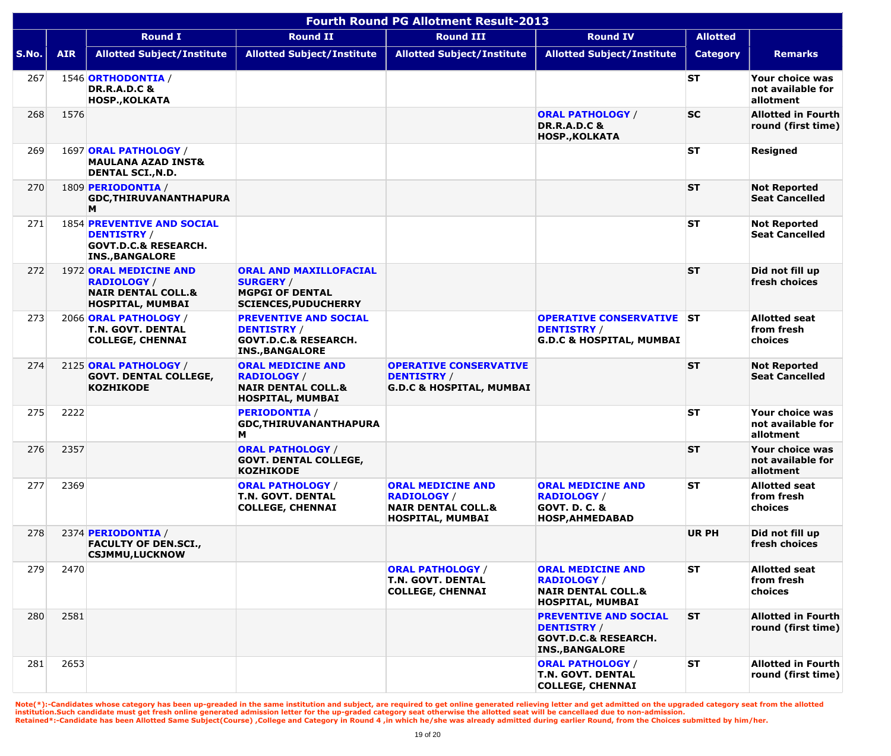|       | <b>Fourth Round PG Allotment Result-2013</b> |                                                                                                                      |                                                                                                                 |                                                                                                     |                                                                                                                 |                 |                                                   |  |  |  |
|-------|----------------------------------------------|----------------------------------------------------------------------------------------------------------------------|-----------------------------------------------------------------------------------------------------------------|-----------------------------------------------------------------------------------------------------|-----------------------------------------------------------------------------------------------------------------|-----------------|---------------------------------------------------|--|--|--|
|       |                                              | <b>Round I</b>                                                                                                       | <b>Round II</b>                                                                                                 | <b>Round III</b>                                                                                    | <b>Round IV</b>                                                                                                 | <b>Allotted</b> |                                                   |  |  |  |
| S.No. | <b>AIR</b>                                   | <b>Allotted Subject/Institute</b>                                                                                    | <b>Allotted Subject/Institute</b>                                                                               | <b>Allotted Subject/Institute</b>                                                                   | <b>Allotted Subject/Institute</b>                                                                               | <b>Category</b> | <b>Remarks</b>                                    |  |  |  |
| 267   |                                              | 1546 ORTHODONTIA /<br><b>DR.R.A.D.C &amp;</b><br><b>HOSP., KOLKATA</b>                                               |                                                                                                                 |                                                                                                     |                                                                                                                 | <b>ST</b>       | Your choice was<br>not available for<br>allotment |  |  |  |
| 268   | 1576                                         |                                                                                                                      |                                                                                                                 |                                                                                                     | <b>ORAL PATHOLOGY /</b><br><b>DR.R.A.D.C &amp;</b><br><b>HOSP., KOLKATA</b>                                     | <b>SC</b>       | <b>Allotted in Fourth</b><br>round (first time)   |  |  |  |
| 269   |                                              | 1697 ORAL PATHOLOGY /<br><b>MAULANA AZAD INST&amp;</b><br><b>DENTAL SCI., N.D.</b>                                   |                                                                                                                 |                                                                                                     |                                                                                                                 | <b>ST</b>       | <b>Resigned</b>                                   |  |  |  |
| 270   |                                              | 1809 <b>PERIODONTIA</b> /<br><b>GDC, THIRUVANANTHAPURA</b><br>M                                                      |                                                                                                                 |                                                                                                     |                                                                                                                 | <b>ST</b>       | <b>Not Reported</b><br><b>Seat Cancelled</b>      |  |  |  |
| 271   |                                              | <b>1854 PREVENTIVE AND SOCIAL</b><br><b>DENTISTRY /</b><br><b>GOVT.D.C.&amp; RESEARCH.</b><br><b>INS., BANGALORE</b> |                                                                                                                 |                                                                                                     |                                                                                                                 | <b>ST</b>       | <b>Not Reported</b><br><b>Seat Cancelled</b>      |  |  |  |
| 272   |                                              | 1972 ORAL MEDICINE AND<br><b>RADIOLOGY /</b><br><b>NAIR DENTAL COLL.&amp;</b><br><b>HOSPITAL, MUMBAI</b>             | <b>ORAL AND MAXILLOFACIAL</b><br><b>SURGERY /</b><br><b>MGPGI OF DENTAL</b><br><b>SCIENCES, PUDUCHERRY</b>      |                                                                                                     |                                                                                                                 | <b>ST</b>       | Did not fill up<br>fresh choices                  |  |  |  |
| 273   |                                              | 2066 ORAL PATHOLOGY /<br>T.N. GOVT. DENTAL<br><b>COLLEGE, CHENNAI</b>                                                | <b>PREVENTIVE AND SOCIAL</b><br><b>DENTISTRY /</b><br><b>GOVT.D.C.&amp; RESEARCH.</b><br><b>INS., BANGALORE</b> |                                                                                                     | <b>OPERATIVE CONSERVATIVE ST</b><br><b>DENTISTRY /</b><br><b>G.D.C &amp; HOSPITAL, MUMBAI</b>                   |                 | <b>Allotted seat</b><br>from fresh<br>choices     |  |  |  |
| 274   |                                              | 2125 ORAL PATHOLOGY /<br><b>GOVT. DENTAL COLLEGE,</b><br><b>KOZHIKODE</b>                                            | <b>ORAL MEDICINE AND</b><br><b>RADIOLOGY /</b><br><b>NAIR DENTAL COLL.&amp;</b><br>HOSPITAL, MUMBAI             | <b>OPERATIVE CONSERVATIVE</b><br><b>DENTISTRY /</b><br><b>G.D.C &amp; HOSPITAL, MUMBAI</b>          |                                                                                                                 | <b>ST</b>       | <b>Not Reported</b><br><b>Seat Cancelled</b>      |  |  |  |
| 275   | 2222                                         |                                                                                                                      | <b>PERIODONTIA /</b><br>GDC, THIRUVANANTHAPURA<br>м                                                             |                                                                                                     |                                                                                                                 | <b>ST</b>       | Your choice was<br>not available for<br>allotment |  |  |  |
| 276   | 2357                                         |                                                                                                                      | <b>ORAL PATHOLOGY /</b><br><b>GOVT. DENTAL COLLEGE,</b><br><b>KOZHIKODE</b>                                     |                                                                                                     |                                                                                                                 | <b>ST</b>       | Your choice was<br>not available for<br>allotment |  |  |  |
| 277   | 2369                                         |                                                                                                                      | <b>ORAL PATHOLOGY /</b><br>T.N. GOVT. DENTAL<br><b>COLLEGE, CHENNAI</b>                                         | <b>ORAL MEDICINE AND</b><br><b>RADIOLOGY /</b><br><b>NAIR DENTAL COLL.&amp;</b><br>HOSPITAL, MUMBAI | <b>ORAL MEDICINE AND</b><br><b>RADIOLOGY /</b><br><b>GOVT. D. C. &amp;</b><br><b>HOSP, AHMEDABAD</b>            | <b>ST</b>       | <b>Allotted seat</b><br>from fresh<br>choices     |  |  |  |
| 278   |                                              | 2374 PERIODONTIA /<br><b>FACULTY OF DEN.SCI.,</b><br><b>CSJMMU,LUCKNOW</b>                                           |                                                                                                                 |                                                                                                     |                                                                                                                 | <b>UR PH</b>    | Did not fill up<br>fresh choices                  |  |  |  |
| 279   | 2470                                         |                                                                                                                      |                                                                                                                 | <b>ORAL PATHOLOGY /</b><br><b>T.N. GOVT. DENTAL</b><br><b>COLLEGE, CHENNAI</b>                      | <b>ORAL MEDICINE AND</b><br><b>RADIOLOGY /</b><br><b>NAIR DENTAL COLL.&amp;</b><br>HOSPITAL, MUMBAI             | <b>ST</b>       | <b>Allotted seat</b><br>from fresh<br>choices     |  |  |  |
| 280   | 2581                                         |                                                                                                                      |                                                                                                                 |                                                                                                     | <b>PREVENTIVE AND SOCIAL</b><br><b>DENTISTRY /</b><br><b>GOVT.D.C.&amp; RESEARCH.</b><br><b>INS., BANGALORE</b> | <b>ST</b>       | <b>Allotted in Fourth</b><br>round (first time)   |  |  |  |
| 281   | 2653                                         |                                                                                                                      |                                                                                                                 |                                                                                                     | <b>ORAL PATHOLOGY /</b><br><b>T.N. GOVT. DENTAL</b><br><b>COLLEGE, CHENNAI</b>                                  | <b>ST</b>       | <b>Allotted in Fourth</b><br>round (first time)   |  |  |  |